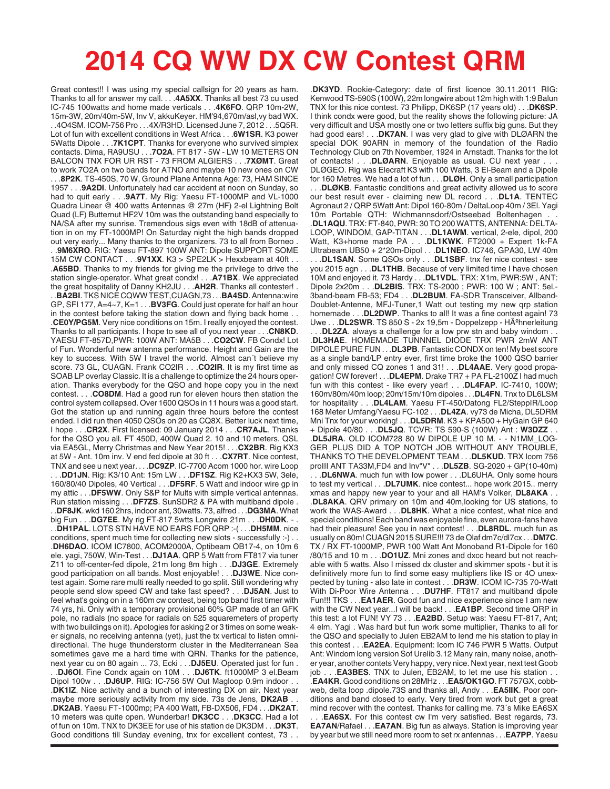## **2014 CQ WW DX CW Contest QRM**

Great contest!! I was using my special callsign for 20 years as ham. Thanks to all for answer my call. . . .**4A5XX**. Thanks all best 73 cu used IC-745 100watts and home made verticals . . .**4K6FO**. QRP 10m-2W, 15m-3W, 20m/40m-5W, Inv V, akkuKeyer. HM'94,670m/asl,vy bad WX. . .4O4SM. ICOM-756 Pro . . .4X/R3HD. Licensed June 7, 2012 . . .5Q5R. Lot of fun with excellent conditions in West Africa . . .**6W1SR**. K3 power 5Watts Dipole . . .**7K1CPT**. Thanks for everyone who survived simplex contacts. Dima, RA9USU . . .**7O2A**. FT 817 - 5W - LW 10 METERS ON BALCON TNX FOR UR RST - 73 FROM ALGIERS . . .**7XØMT**. Great to work 7O2A on two bands for ATNO and maybe 10 new ones on CW . . .**8P2K**. TS-450S, 70 W, Ground Plane Antenna Age: 73, HAM SINCE 1957 . . .**9A2DI**. Unfortunately had car accident at noon on Sunday, so had to quit early . . .**9A7T**. My Rig: Yaesu FT-1000MP and VL-1000 Quadra Linear @ 400 watts Antennas @ 27m (HF) 2-el Lightning Bolt Quad (LF) Butternut HF2V 10m was the outstanding band especially to NA/SA after my sunrise. Tremendous sigs even with 18dB of attenuation in on my FT-1000MP! On Saturday night the high bands dropped out very early... Many thanks to the organizers. 73 to all from Borneo . . .**9M6XRO**. RIG: Yaesu FT-897 100W ANT: Dipole SUPPORT SOME 15M CW CONTACT . . .**9V1XX**. K3 > SPE2LK > Hexxbeam at 40ft . . .**A65BD**. Thanks to my friends for giving me the privilege to drive the station single-operator. What great condx! . . .**A71BX**. We appreciated the great hospitality of Danny KH2JU . . .**AH2R**. Thanks all contester! . . .**BA2BI**. TKS NICE CQWW TEST,CUAGN,73 . . .**BA4SD**. Antenna:wire GP, SFI 177, A=4~7, K=1 . . .**BV3FG**. Could just operate for half an hour in the contest before taking the station down and flying back home . . .**CE0Y/PG5M**. Very nice conditions on 15m. I really enjoyed the contest. Thanks to all participants. I hope to see all of you next year . . .**CN8KD**. YAESU FT-857D,PWR: 100W ANT: MA5B . . .**CO2CW**. FB Condx! Lot of Fun. Wonderful new antenna performance. Height and Gain are the key to success. With 5W I travel the world. Almost can´t believe my score. 73 GL, CUAGN. Frank CO2IR . . .**CO2IR**. It is my first time as SOAB LP overlay Classic. It is a challenge to optimize the 24 hours operation. Thanks everybody for the QSO and hope copy you in the next contest. . . .**CO8DM**. Had a good run for eleven hours then station the control system collapsed. Over 1600 QSOs in 11 hours was a good start. Got the station up and running again three hours before the contest ended. I did run then 4050 QSOs on 20 as CQ8X. Better luck next time, I hope . . .**CR2X**. First licensed: 09 January 2014 . . .**CR7AJL**. Thanks for the QSO you all. FT 450D, 400W Quad 2. 10 and 10 meters. QSL via EA5GL, Merry Christmas and New Year 2015! . . .**CX2BR**. Rig KX3 at 5W - Ant. 10m inv. V end fed dipole at 30 ft . . .**CX7RT**. Nice contest, TNX and see u next year. . . .**DC9ZP**. IC-7700 Acom 1000 hor. wire Loop . . .**DD1JN**. Rig: K3/10 Ant: 15m LW . . .**DF1SZ**. Rig K2+KX3 5W, 3ele, 160/80/40 Dipoles, 40 Vertical . . .**DF5RF**. 5 Watt and indoor wire gp in my attic . . .**DF5WW**. Only S&P for Mults with simple vertical antennas. Run station missing . . .**DF7ZS**. SunSDR2 & PA with multiband dipole . . .**DF8JK**. wkd 160 2hrs, indoor ant, 30watts. 73, alfred . . .**DG3MA**. What big Fun . . .**DG7EE**. My rig FT-817 5wtts Longwire 21m . . .**DH0DK**. - . . .**DH1PAL**. LOTS STN HAVE NO EARS FOR QRP :-( . . .**DH5MM**. nice conditions, spent much time for collecting new slots - successfully :-) . . .**DH6DAO**. ICOM IC7800, ACOM2000A, Optibeam OB17-4, on 10m 6 ele. yagi, 750W, Win-Test . . .**DJ1AA**. QRP 5 Watt from FT817 via tuner Z11 to off-center-fed dipole, 21m long 8m high . . .**DJ3GE**. Extremely good participation on all bands. Most enjoyable! . . .**DJ3WE**. Nice contest again. Some rare multi really needed to go split. Still wondering why people send slow speed CW and take fast speed? . . .**DJ5AN**. Just to feel what's going on in a 160m cw contest, being top band first timer with 74 yrs, hi. Only with a temporary provisional 60% GP made of an GFK pole, no radials (no space for radials on 525 squaremeters of property with two buildings on it). Apologies for asking 2 or 3 times on some weaker signals, no receiving antenna (yet), just the tx vertical to listen omnidirectional. The huge thunderstorm cluster in the Mediterranean Sea sometimes gave me a hard time with QRN. Thanks for the patience, next year cu on 80 again ... 73, Ecki . . .**DJ5EU**. Operated just for fun . . .**DJ6OI**. Fine Condx again on 10M . . .**DJ6TK**. ft1000MP 3 el.Beam Dipol 100w . . .**DJ6UP**. RIG: IC-756 5W Out Magloop 0.9m indoor . . .**DK1IZ**. Nice activity and a bunch of interesting DX on air. Next year maybe more seriously activity from my side. 73s de Jens, **DK2AB** . . .**DK2AB**. Yaesu FT-1000mp; PA 400 Watt, FB-DX506, FD4 . . .**DK2AT**. 10 meters was quite open. Wunderbar! **DK3CC** . . .**DK3CC**. Had a lot of fun on 10m. TNX to DK3EE for use of his station de DK3DM . . .**DK3T**. Good conditions till Sunday evening, tnx for excellent contest, 73 . .

.**DK3YD**. Rookie-Category: date of first licence 30.11.2011 RIG: Kenwood TS-590S (100W), 22m longwire about 12m high with 1:9 Balun TNX for this nice contest. 73 Philipp, DK6SP (17 years old) . . .**DK6SP**. I think condx were good, but the reality shows the following picture: JA very difficult and USA mostly one or two letters suffix big guns. But they had good ears! . . .**DK7AN**. I was very glad to give with DLØARN the special DOK 90ARN in memory of the foundation of the Radio Technology Club on 7th November, 1924 in Arnstadt. Thanks for the lot of contacts! . . .**DLØARN**. Enjoyable as usual. CU next year . . . DLØGEO. Rig was Elecraft K3 with 100 Watts, 3 El-Beam and a Dipole for 160 Metres. We had a lot of fun . . .**DLØH**. Only a small participation

. . .**DLØKB**. Fantastic conditions and great activity allowed us to score our best result ever - claiming new DL record . . .**DL1A**. TENTEC Agronaut 2 / QRP 5Watt Ant: Dipol 160-80m / DeltaLoop 40m / 3El. Yagi 10m Portable QTH: Wichmannsdorf/Ostseebad Boltenhagen .**DL1AQU**. TRX: FT-840, PWR: 30 TO 200 WATTS, ANTENNA: DELTA-LOOP, WINDOM, GAP-TITAN . . .**DL1AWM**. vertical, 2-ele, dipol, 200 Watt, K3+home made PA . . .**DL1KWK**. FT2000 + Expert 1k-FA Ultrabeam UB50 + 2\*20m-Dipol . . .**DL1NEO**. IC746, GPA30, LW 40m . . .**DL1SAN**. Some QSOs only . . .**DL1SBF**. tnx fer nice contest - see you 2015 agn . . .**DL1THB**. Because of very limited time I have chosen 10M and enjoyed it. 73 Hardy . . .**DL1VDL**. TRX: X1m, PWR:5W , ANT: Dipole 2x20m . . .**DL2BIS**. TRX: TS-2000 ; PWR: 100 W ; ANT: 5el.- 3band-beam FB-53; FD4 . . .**DL2BUM**. FA-SDR Transceiver, Allband-Doublet-Antenne, MFJ-Tuner,1 Watt out testing my new qrp station homemade . . .**DL2DWP**. Thanks to all! It was a fine contest again! 73 Uwe . . . DL2SWR. TS 850 S - 2x 19,5m - Doppelzepp - HA<sup>o</sup>hnerleitung

. . .**DL2ZA**. always a challenge for a low prw stn and baby windom . . .**DL3HAE**. HOMEMADE TUNNNEL DIODE TRX PWR 2mW ANT DIPOLE PURE FUN . . .**DL3PB**. Fantastic CONDX on ten! My best score as a single band/LP entry ever, first time broke the 1000 QSO barrier and only missed CQ zones 1 and 31! . . .**DL4AAE**. Very good propagation! CW forever! . . .**DL4EPM**. Drake TR7 + PA FL-2100Z I had much fun with this contest - like every year! . . .**DL4FAP**. IC-7410, 100W; 160m/80m/40m loop; 20m/15m/10m dipoles . . .**DL4FN**. Tnx to DL6LSM for hospitality . . .**DL4LAM**. Yaesu FT-450/Datong FL2/SteppIR/Loop 168 Meter Umfang/Yaesu FC-102 . . .**DL4ZA**. vy73 de Micha, DL5DRM Mni Tnx for your working! . . .**DL5DRM**. K3 + KPA500 + HyGain GP 640 + Dipole 40/80 . . .**DL5JQ**. TCVR: TS 590-S (100W) Ant : **W3DZZ** . . .**DL5JRA**. OLD ICOM728 80 W DIPOLE UP 10 M. - - N1MM\_LOG-GER\_PLUS DID A TOP NOTCH JOB WITHOUT ANY TROUBLE, THANKS TO THE DEVELOPMENT TEAM . . .**DL5KUD**. TRX Icom 756 proIII ANT TA33M,FD4 and Inv"V" . . .**DL5ZB**. SG-2020 + GP(10-40m) .DL6NWA. much fun with low power . . .DL6UHA. Only some hours to test my vertical . . .**DL7UMK**. nice contest... hope work 2015.. merry xmas and happy new year to your and all HAM's Volker, **DL8AKA** . .

.**DL8AKA**. QRV primary on 10m and 40m,looking for US stations, to work the WAS-Award . . .**DL8HK**. What a nice contest, what nice and special conditions! Each band was enjoyable fine, even aurora-fans have had their pleasure! See you in next contest! . . .**DL8RDL**. much fun as usually on 80m! CUAGN 2015 SURE!!! 73 de Olaf dm7c/dl7cx . . .**DM7C**. TX / RX FT-1000MP, PWR 100 Watt Ant Monoband R1-Dipole for 160 /80/15 and 10 m . . .**DO1UZ**. Mni zones and dxcc heard but not reachable with 5 watts. Also I missed dx cluster and skimmer spots - but it is definitively more fun to find some easy multipliers like IS or 4O unexpected by tuning - also late in contest . . .**DR3W**. ICOM IC-735 70-Watt With Di-Poor Wire Antenna . . .**DU7HF**. FT817 and multiband dipole Fun!!! TKS . . .**EA1AER**. Good fun and nice experience since I am new with the CW Next year...I will be back! . . .**EA1BP**. Second time QRP in this test: a lot FUN! VY 73 . . .**EA2BD**. Setup was: Yaesu FT-817, Ant; 4 elm. Yagi . Was hard but fun work some multiplier, Thanks to all for the QSO and specially to Julen EB2AM to lend me his station to play in this contest . . .**EA2EA**. Equipment: Icom IC 746 PWR 5 Watts. Output Ant: Windom long version Sof Urelib 3.12 Many rain, many noise, another year, another contets Very happy, very nice. Next year, next test Goob job . . . **EA3BES**. TNX to Julen, EB2AM, to let me use his station

.**EA4KR**. Good conditions on 28MHz . . .**EA5/OK1GO**. FT 757GX, cobbweb, delta loop .dipole.73S and thanks all, Andy . . .**EA5IIK**. Poor conditions and band closed to early. Very tired from work but get a great mind recover with the contest. Thanks for calling me. 73´s Mike EA6SX

.**EA6SX**. For this contest cw I'm very satisfied. Best regards, 73. **EA7AN**/Rafael . . .**EA7AN**. Big fun as always. Station is improving year by year but we still need more room to set rx antennas . . .**EA7PP**. Yaesu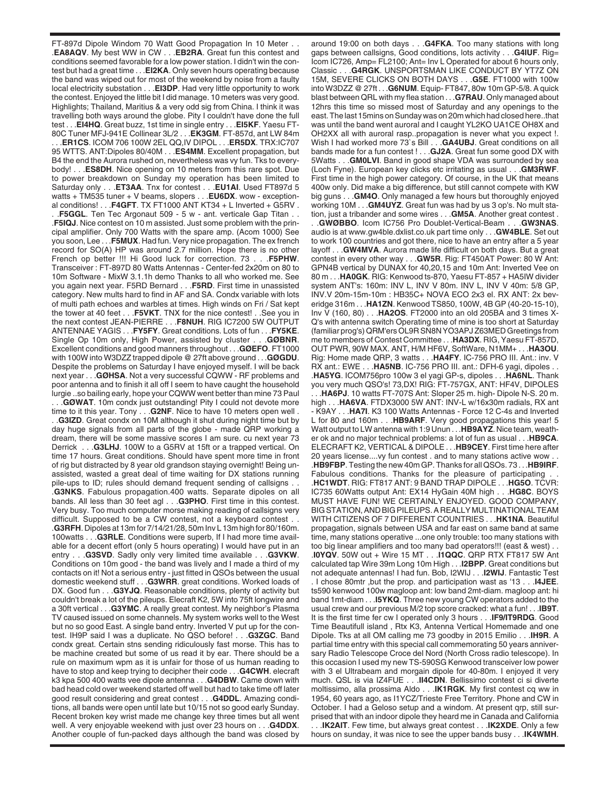FT-897d Dipole Windom 70 Watt Good Propagation In 10 Meter . . .**EA8AQV**. My best WW in CW . . .**EB2RA**. Great fun this contest and conditions seemed favorable for a low power station. I didn't win the contest but had a great time . . .**EI2KA**. Only seven hours operating because the band was wiped out for most of the weekend by noise from a faulty local electricity substation . . .**EI3DP**. Had very little opportunity to work the contest. Enjoyed the little bit I did manage. 10 meters was very good. Highlights; Thailand, Maritius & a very odd sig from China. I think it was travelling both ways around the globe. Pity I couldn't have done the full test . . .**EI4HQ**. Great buzz, 1st time in single entry . . .**EI5KF**. Yaesu FT-80C Tuner MFJ-941E Collinear 3L/2 . . .**EK3GM**. FT-857d, ant LW 84m . . .**ER1CS**. ICOM 706 100W 2EL QQ,IV DIPOL . . .**ER5DX**. TRX:IC707 95 WTTS. ANT:Dipoles 80/40M . . .**ES4MM**. Excellent propagation, but B4 the end the Aurora rushed on, nevertheless was vy fun. Tks to everybody! . . .**ES8DH**. Nice opening on 10 meters from this rare spot. Due to power breakdown on Sunday my operation has been limited to Saturday only . . .**ET3AA**. Tnx for contest . . .**EU1AI**. Used FT897d 5 watts + TM535 tuner + V beams, slopers . . .**EU6DX**. wow - exceptional conditions! . . .**F4GFT**. TX FT1000 ANT KT34 + L Inverted + G5RV . . .**F5GGL**. Ten Tec Argonaut 509 - 5 w - ant. verticale Gap Titan . .

.**F5IQJ**. Nice contest on 10 m assisted. Just some problem with the principal amplifier. Only 700 Watts with the spare amp. (Acom 1000) See you soon, Lee . . .**F5MUX**. Had fun. Very nice propagation. The ex french record for SO(A) HP was around 2.7 million. Hope there is no other French op better !!! Hi Good luck for correction. 73 . . .**F5PHW**. Transceiver : FT-897D 80 Watts Antennas - Center-fed 2x20m on 80 to 10m Software - MixW 3.1.1h demo Thanks to all who worked me. See you again next year. F5RD Bernard . . .**F5RD**. First time in unassisted category. New mults hard to find in AF and SA. Condx variable with lots of multi path echoes and warbles at times. High winds on Fri / Sat kept the tower at 40 feet . . .**F5VKT**. TNX for the nice contest! . .See you in the next contest JEAN-PIERRE . . .**F8NUH**. RIG IC7200 5W OUTPUT ANTENNAE YAGIS . . .**FY5FY**. Great conditions. Lots of fun . . .**FY5KE**. Single Op 10m only, High Power, assisted by cluster . . .**GØBNR**. Excellent conditions and good manners throughout . . .**GØEFO**. FT1000 with 100W into W3DZZ trapped dipole @ 27ft above ground . . .**GØGDU**. Despite the problems on Saturday I have enjoyed myself. I will be back next year . . .**GØHSA**. Not a very successful CQWW - RF problems and poor antenna and to finish it all off I seem to have caught the household lurgie ..so bailing early, hope your CQWW went better than mine 73 Paul . . .**GØWAT**. 10m condx just outstanding! Pity I could not devote more time to it this year. Tony . . .**G2NF**. Nice to have 10 meters open well . . .**G3IZD**. Great condx on 10M although it shut during night time but by day huge signals from all parts of the globe - made QRP working a dream, there will be some massive scores I am sure. cu next year 73 Derrick . . .**G3LHJ**. 100W to a G5RV at 15ft or a trapped vertical. On time 17 hours. Great conditions. Should have spent more time in front of rig but distracted by 8 year old grandson staying overnight! Being unassisted, wasted a great deal of time waiting for DX stations running pile-ups to ID; rules should demand frequent sending of callsigns .**G3NKS**. Fabulous propagation.400 watts. Separate dipoles on all bands. All less than 30 feet agl . . .**G3PHO**. First time in this contest. Very busy. Too much computer morse making reading of callsigns very difficult. Supposed to be a CW contest, not a keyboard contest . . .**G3RFH**. Dipoles at 13m for 7/14/21/28, 50m Inv L 13m high for 80/160m. 100watts . . .**G3RLE**. Conditions were superb, If I had more time available for a decent effort (only 5 hours operating) I would have put in an entry . . .**G3SVD**. Sadly only very limited time available . . .**G3VKW**. Conditions on 10m good - the band was lively and I made a third of my contacts on it! Not a serious entry - just fitted in QSOs between the usual domestic weekend stuff . . .**G3WRR**. great conditions. Worked loads of DX. Good fun . . .**G3YJQ**. Reasonable conditions, plenty of activity but couldn't break a lot of the pileups. Elecraft K2, 5W into 75ft longwire and a 30ft vertical . . .**G3YMC**. A really great contest. My neighbor's Plasma TV caused issued on some channels. My system works well to the West but no so good East. A single band entry. Inverted V put up for the contest. IH9P said I was a duplicate. No QSO before! . . .**G3ZGC**. Band condx great. Certain stns sending ridiculously fast morse. This has to be machine created but some of us read it by ear. There should be a rule on maximum wpm as it is unfair for those of us human reading to have to stop and keep trying to decipher their code . . .**G4CWH**. elecraft k3 kpa 500 400 watts vee dipole antenna . . .**G4DBW**. Came down with bad head cold over weekend started off well but had to take time off later good result considering and great contest . . .**G4DDL**. Amazing conditions, all bands were open until late but 10/15 not so good early Sunday. Recent broken key wrist made me change key three times but all went well. A very enjoyable weekend with just over 23 hours on . . .**G4DDX**. Another couple of fun-packed days although the band was closed by

around 19:00 on both days . . .**G4FKA**. Too many stations with long gaps between callsigns, Good conditions, lots activity . . .**G4IUF**. Rig= Icom IC726, Amp= FL2100; Ant= Inv L Operated for about 6 hours only, Classic . . .**G4RGK**. UNSPORTSMAN LIKE CONDUCT BY YT7Z ON 15M, SEVERE CLICKS ON BOTH DAYS . . .**G5E**. FT1000 with 100w into W3DZZ @ 27ft . . .**G6NUM**. Equip- FT847, 80w 10m GP-5/8. A quick blast between QRL with my flea station . . .**G7RAU**. Only managed about 12hrs this time so missed most of Saturday and any openings to the east. The last 15mins on Sunday was on 20m which had closed here..that was until the band went auroral and I caught YL2KO UA1CE OH8X and OH2XX all with auroral rasp..propagation is never what you expect !. Wish I had worked more 73`s Bill . . .**GA4UBJ**. Great conditions on all bands made for a fun contest ! . . .**GJ2A**. Great fun some good DX with 5Watts . . .**GM0LVI**. Band in good shape VDA was surrounded by sea (Loch Fyne). European key clicks etc irritating as usual . . .**GM3RWF**. First time in the high power category. Of course, in the UK that means 400w only. Did make a big difference, but still cannot compete with KW big guns . . .**GM4O**. Only managed a few hours but thoroughly enjoyed working 10M . . .**GM4UYZ**. Great fun was had by us 3 op's. No mult station, just a tribander and some wires . . .**GM5A**. Another great contest .

. .**GWØBBO**. Icom IC756 Pro Doublet-Vertical-Beam . . .**GW3NAS**. audio is at www.gw4ble.dxlist.co.uk part time only . . .**GW4BLE**. Set out to work 100 countries and got there, nice to have an entry after a 5 year layoff . . .**GW4MVA**. Aurora made life difficult on both days. But a great contest in every other way . . .**GW5R**. Rig: FT450AT Power: 80 W Ant: GPN4B vertical by DUNAX for 40,20,15 and 10m Ant: Inverted Vee on 80 m . . .**HA0GK**. RIG: Kenwood ts-870, Yaesu FT-857 + HA5IW divider system ANT's: 160m: INV L, INV V 80m. INV L, INV V 40m: 5/8 GP, INV.V 20m-15m-10m : HB35C+ NOVA ECO 2x3 el. RX ANT: 2x beveridge 316m . . .**HA1ZN**. Kenwood TS850, 100W, 4B GP (40-20-15-10), Inv V (160, 80) . . .**HA2OS**. FT2000 into an old 205BA and 3 times X-Q's with antenna switch Operating time of mine is too short at Saturday (familiar prog's) QRM'ers OL9R SN8N YO3APJ Z63MED Greetings from me to members of Contest Committee . . .**HA3DX**. RIG, Yaesu FT-857D, OUT PWR, 90W MAX. ANT, H/M HF6V, SoftWare, N1MM+ . . .**HA3OU**. Rig: Home made QRP, 3 watts . . .**HA4FY**. IC-756 PRO III. Ant.: inv. V RX ant.: EWE . . .**HA5NB**. IC-756 PRO III. ant.: DFH-6 yagi, dipoles . . .**HA5YG**. ICOM756pro 100w 3 el yagi GP-s, dipoles . . .**HA6NL**. Thank you very much QSO's! 73,DX! RIG: FT-757GX, ANT: HF4V, DIPOLES

. . .**HA6PJ**. 10 watts FT-707S Ant: Sloper 25 m. high- Dipole N-S. 20 m. high . . .**HA6VA**. FTDX3000 5W ANT: INV-L w/16x30m radials, RX ant - K9AY . . .**HA7I**. K3 100 Watts Antennas - Force 12 C-4s and Inverted L for 80 and 160m . . .**HB9ARF**. Very good propagations this year! 5 Watt output to LW antenna with 1:9 Unun . . .**HB9AYZ**. Nice team, weather ok and no major technical problems: a lot of fun as usual . . .**HB9CA**. ELECRAFT K2, VERTICAL & DIPOLE . . .**HB9CEY**. First time here after 20 years license....vy fun contest . and to many stations active wow . . .**HB9FBP**. Testing the new 40m GP. Thanks for all QSOs. 73 . . .**HB9IRF**. Fabulous conditions. Thanks for the pleasure of participating .**HC1WDT**. RIG: FT817 ANT: 9 BAND TRAP DIPOLE . . .**HG5O**. TCVR: IC735 60Watts output Ant: EX14 HyGain 40M high . . .**HG8C**. BOYS MUST HAVE FUN! WE CERTAINLY ENJOYED. GOOD COMPANY, BIG STATION, AND BIG PILEUPS. A REALLY MULTINATIONAL TEAM WITH CITIZENS OF 7 DIFFERENT COUNTRIES . . .**HK1NA**. Beautiful propagation, signals between USA and far east on same band at same time, many stations operative ...one only trouble: too many stations with too big linear amplifiers and too many bad operators!!! (east & west) . . .**I0YQV**. 50W out + Wire 15 MT . . .**I1QQC**. QRP RTX FT817 5W Ant calculated tap Wire 39m Long 10m High . . .**I2BPP**. Great conditions but not adequate antennas! I had fun. Bob, I2WIJ . . .**I2WIJ**. Fantastic Test . I chose 80mtr ,but the prop. and participation wast as '13 . . .**I4JEE**. ts590 kenwood 100w magloop ant: low band 2mt-diam. magloop ant: hi band 1mt-diam . . .**I5YKQ**. Three new young CW operators added to the usual crew and our previous M/2 top score cracked: what a fun! . . .**IB9T**. It is the first time fer cw I operated only 3 hours . . .**IF9/IT9RDG**. Good Time Beautifull island , Rtx K3, Antenna Vertical Homemade and one Dipole. Tks at all OM calling me 73 goodby in 2015 Emilio . . .**IH9R**. A partial time entry with this special call commemorating 50 years anniversary Radio Telescope Croce del Nord (North Cross radio telescope). In this occasion I used my new TS-590SG Kenwood transceiver low power with 3 el Ultrabeam and morgain dipole for 40-80m. I enjoyed it very much. QSL is via IZ4FUE . . .**II4CDN**. Bellissimo contest ci si diverte moltissimo, alla prossima Aldo . . .**IK1RGK**. My first contest cq ww in 1954, 60 years ago, as I1YCZ/Trieste Free Territory. Phone and CW in October. I had a Geloso setup and a windom. At present qrp, still surprised that with an indoor dipole they heard me in Canada and California . . .**IK2AIT**. Few time, but always great contest . . .**IK2XDE**. Only a few hours on sunday, it was nice to see the upper bands busy . . .**IK4WMH**.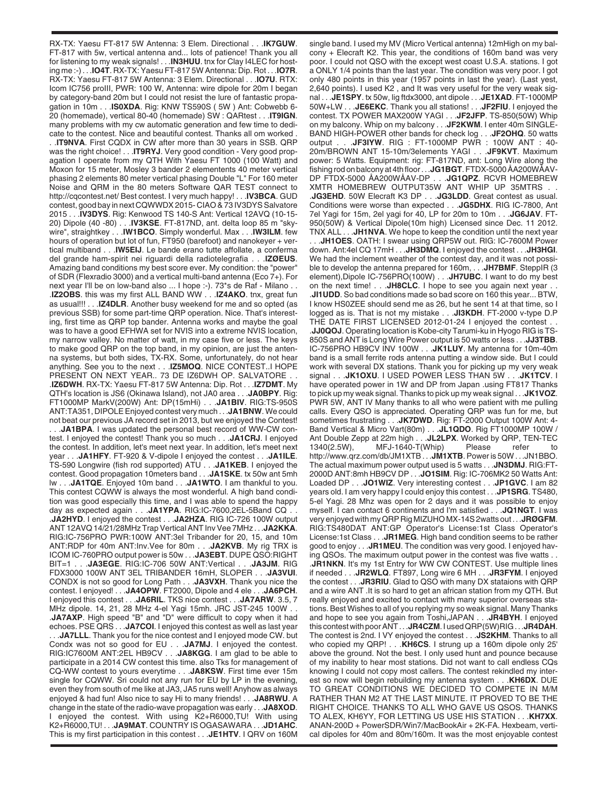RX-TX: Yaesu FT-817 5W Antenna: 3 Elem. Directional . . .**IK7GUW**. FT-817 with 5w, vertical antenna and... lots of patience! Thank you all for listening to my weak signals! . . .**IN3HUU**. tnx for Clay I4LEC for hosting me :-) . . .**IO4T**. RX-TX: Yaesu FT-817 5W Antenna: Dip. Rot . . .**IO7R**. RX-TX: Yaesu FT-817 5W Antenna: 3 Elem. Directional . . .**IO7U**. RTX: Icom IC756 proIII, PWR: 100 W, Antenna: wire dipole for 20m I began by category-band 20m but I could not resist the lure of fantastic propagation in 10m . . .**IS0XDA**. Rig: KNW TS590S ( 5W ) Ant: Cobwebb 6- 20 (homemade), vertical 80-40 (homemade) SW : QARtest . . .**IT9IGN**. many problems with my cw automatic generation and few time to dedicate to the contest. Nice and beautiful contest. Thanks all om worked .

. .**IT9NVA**. First CQDX in CW after more than 30 years in SSB. QRP was the right choice! . . .**IT9RYJ**. Very good condition - Very good propagation I operate from my QTH With Yaesu FT 1000 (100 Watt) and Moxon for 15 meter, Mosley 3 bander 2 elementents 40 meter vertical phasing 2 elements 80 meter vertical phasing Double "L" For 160 meter Noise and QRM in the 80 meters Software QAR TEST connect to http://cqcontest.net/ Best contest. I very much happy! . . .**IV3BCA**. GUD contest, good bay in next CQWWDX 2015- CIAO & 73 IV3DYS Salvatore 2015 . . .**IV3DYS**. Rig: Kenwood TS 140-S Ant: Vertical 12AVQ (10-15- 20) Dipole (40 -80) . . .**IV3KSE**. FT-817ND, ant. delta loop 85 m "skywire", straightkey . . .**IW1BCO**. Simply wonderful. Max . . .**IW3ILM**. few hours of operation but lot of fun, FT950 (barefoot) and nanokeyer + vertical multiband . . .**IW5EIJ**. Le bande erano tutte affollate, a conferma del grande ham-spirit nei riguardi della radiotelegrafia . . .**IZØEUS**. Amazing band conditions my best score ever. My condition: the "power" of SDR (Flexradio 3000) and a vertical multi-band antenna (Eco 7+). For next year I'll be on low-band also ... I hope :-). 73\*s de Raf - Milano . . .**IZ2OBS**. this was my first ALL BAND WW . . .**IZ4AKO**. tnx, great fun as usual!!! . . .**IZ4DLR**. Another busy weekend for me and so opted (as previous SSB) for some part-time QRP operation. Nice. That's interesting, first time as QRP top bander. Antenna works and maybe the goal was to have a good EFHWA set for NVIS into a extreme NVIS location, my narrow valley. No matter of watt, in my case five or less. The keys to make good QRP on the top band, in my opinion, are just the antenna systems, but both sides, TX-RX. Some, unfortunately, do not hear anything. See you to the next . . .**IZ5MOQ**. NICE CONTEST..I HOPE PRESENT ON NEXT YEAR.. 73 DE IZ6DWH OP. SALVATORE . . .**IZ6DWH**. RX-TX: Yaesu FT-817 5W Antenna: Dip. Rot . . .**IZ7DMT**. My QTH's location is JS6 (Okinawa Island), not JA0 area . . .**JA0BPY**. Rig: FT1000MP MarkV(200W) Ant: DP(15mHi) . . .**JA1BIV**. RIG:TS-950S ANT:TA351, DIPOLE Enjoyed contest very much . . .**JA1BNW**. We could not beat our previous JA record set in 2013, but we enjoyed the Contest! . . .**JA1BPA**. I was updated the personal best record of WW-CW contest. I enjoyed the contest! Thank you so much . . .**JA1CRJ**. I enjoyed the contest. In addition, let's meet next year. In addition, let's meet next year . . .**JA1HFY**. FT-920 & V-dipole I enjoyed the contest . . .**JA1ILE**. TS-590 Longwire (fish rod supported) ATU . . .**JA1KEB**. I enjoyed the contest. Good propagation 10meters band . . .**JA1SKE**. tx 50w ant 5mh lw . . .**JA1TQE**. Enjoyed 10m band . . .**JA1WTO**. I am thankful to you. This contest CQWW is always the most wonderful. A high band condition was good especially this time, and I was able to spend the happy day as expected again . . .**JA1YPA**. RIG:IC-7600,2EL-5Band CQ . . .**JA2HYD**. I enjoyed the contest . . .**JA2HZA**. RIG IC-726 100W output ANT 12AVQ 14/21/28MHz Trap Vertical ANT Inv Vee 7MHz . . .**JA2KKA**. RIG:IC-756PRO PWR:100W ANT:3el Tribander for 20, 15, and 10m ANT:RDP for 40m ANT:Inv.Vee for 80m . . .**JA2KVB**. My rig TRX is ICOM IC-760PRO output power is 50w . . .**JA3EBT**. DUPE QSO:RIGHT BIT=1 . . .**JA3EGE**. RIG:IC-706 50W ANT:Vertical . . .**JA3JM**. RIG FDX3000 100W ANT 3EL TRIBANDER 16mH, SLOPER . . .**JA3VUI**. CONDX is not so good for Long Path . . .**JA3VXH**. Thank you nice the contest. I enjoyed! . . .**JA4OPW**. FT2000, Dipole and 4 ele . . .**JA6PCH**. I enjoyed this contest . . .**JA6RIL**. TKS nice contest . . .**JA7ARW**. 3.5, 7 MHz dipole. 14, 21, 28 MHz 4-el Yagi 15mh. JRC JST-245 100W . . .**JA7AXP**. High speed "B" and "D" were difficult to copy when it had echoes. PSE QRS . . .**JA7COI**. I enjoyed this contest as well as last year . . .**JA7LLL**. Thank you for the nice contest and I enjoyed mode CW. but Condx was not so good for EU . . .**JA7MJ**. I enjoyed the contest. RIG:IC7600M ANT:2EL HB9CV . . .**JA8KGG**. I am glad to be able to participate in a 2014 CW contest this time. also Tks for management of CQ-WW contest to yours everytime . . .**JA8KSW**. First time ever 15m single for CQWW. Sri could not any run for EU by LP in the evening, even they from south of me like at JA3, JA5 runs well! Anyhow as always enjoyed & had fun! Also nice to say Hi to many friends! . . .**JA8RWU**. A change in the state of the radio-wave propagation was early . . .**JA8XOD**. enjoyed the contest. With using K2+R6000,TU! With using K2+R6000,TU! . . .**JA9MAT**. COUNTRY IS OGASAWARA . . .**JD1AHC**. This is my first participation in this contest . . .**JE1HTV**. I QRV on 160M

single band. I used my MV (Micro Vertical antenna) 12mHigh on my balcony + Elecraft K2. This year, the conditions of 160m band was very poor. I could not QSO with the except west coast U.S.A. stations. I got a ONLY 1/4 points than the last year. The condition was very poor. I got only 480 points in this year (1957 points in last the year). (Last yest, 2,640 points). I used K2 , and It was very useful for the very weak signal . . .**JE1SPY**. tx 50w, lig ftdx3000, ant dipole . . .**JE1XAD**. FT-1000MP 50W+LW . . .**JE6EKC**. Thank you all stations! . . .**JF2FIU**. I enjoyed the contest. TX POWER MAX200W YAGI . . .**JF2JFP**. TS-850(50W) Whip on my balcony. Whip on my balcony . . .**JF2KWM**. I enter 40m SINGLE-BAND HIGH-POWER other bands for check log . . .**JF2OHQ**. 50 watts output . . .**JF3IYW**. RIG : FT-1000MP PWR : 100W ANT : 40- 20m/BROWN ANT 15-10m/3elements YAGI . . .**JF9KVT**. Maximum power: 5 Watts. Equipment: rig: FT-817ND, ant: Long Wire along the fishing rod on balcony at 4th floor . . .**JG1BGT**. FTDX-5000 ÅA200WÅAV-DP FTDX-5000 ÅA200WÅAV-DP . . .**JG1QPZ**. RCVR HOMEBREW XMTR HOMEBREW OUTPUT35W ANT WHIP UP 35MTRS . . .**JG3EHD**. 50W Elecraft K3 DP . . .**JG3LDD**. Great contest as usual.

Conditions were worse than expected . . .**JG5DHX**. RIG IC-7800, Ant 7el Yagi for 15m, 2el yagi for 40, LP for 20m to 10m . . .**JG6JAV**. FT-950(50W) & Vertical Dipole(10m high) Licensed since Dec. 11 2012. TNX ALL . . .**JH1NVA**. We hope to keep the condition until the next year

. . .**JH1OES**. OATH: I swear using QRP5W out. RIG: IC-7600M Power down. Ant:4el CQ 17mH . . .**JH3DMQ**. I enjoyed the contest . . .**JH3HGI**. We had the inclement weather of the contest day, and it was not possible to develop the antenna prepared for 160m, . . .**JH7BMF**. SteppIR (3 element),Dipole IC-756PRO(100W) . . .**JH7UBC**. I want to do my best on the next time! . . .**JH8CLC**. I hope to see you again next year . . .**JI1UDD**. So bad conditions made so bad score on 160 this year... BTW, I know HS0ZEE should send me as 26, but he sent 14 at that time, so I logged as is. That is not my mistake . . .**JI3KDH**. FT-2000 v-type D.P THE DATE FIRST LICENSED 2012-01-24 I enjoyed the contest . . .**JJ0QOJ**. Operating location is Kobe-city Tarumi-ku in Hyogo RIG is TS-850S and ANT is Long Wire Power output is 50 watts or less . . .**JJ3TBB**. IC-756PRO HB9CV INV 100W . . .**JK1LUY**. My antenna for 10m-40m band is a small ferrite rods antenna putting a window side. But I could work with several DX stations. Thank you for picking up my very weak signal . . .**JK1OXU**. I USED POWER LESS THAN 5W . . .**JK1TCV**. I have operated power in 1W and DP from Japan .using FT817 Thanks to pick up my weak signal. Thanks to pick up my weak signal . . .**JK1VOZ**. PWR 5W, ANT IV Many thanks to all who were patient with me pulling calls. Every QSO is appreciated. Operating QRP was fun for me, but sometimes frustrating . . .**JK7DWD**. Rig: FT-2000 Output 100W Ant: 4- Band Vertical & Micro Vart(80m) . . .**JL1QDO**. Rig FT1000MP 100W / Ant Double Zepp at 22m high . . **.JL2LPX**. Worked by QRP, TEN-TEC 1340(2.5W), MFJ-1640-T(Whip) Please refer to 1340(2.5W), MFJ-1640-T(Whip) Please refer to http://www.qrz.com/db/JM1XTB . . .**JM1XTB**. Power is 50W . . .JN1BBO. The actual maximum power output used is 5 watts . . .**JN3DMJ**. RIG:FT-2000D ANT:8mh HB9CV DP . . .**JO1SIM**. Rig: IC-706MK2 50 Watts Ant: Loaded DP . . .**JO1WIZ**. Very interesting contest . . .**JP1GVC**. I am 82 years old. I am very happy I could enjoy this contest . . .**JP1SRG**. TS480, 5-el Yagi. 28 Mhz was open for 2 days and it was possible to enjoy myself. I can contact 6 continents and I'm satisfied . . .**JQ1NGT**. I was very enjoyed with my QRP Rig MIZUHO MX-14S 2watts out . . .**JRØGFM**. RIG:TS480DAT ANT:GP Operator's License:1st Class Operator's License:1st Class . . .**JR1MEG**. High band condition seems to be rather good to enjoy . . .**JR1MEU**. The condition was very good. I enjoyed having QSOs. The maximum output power in the contest was five watts . . .**JR1NKN**. It's my 1st Entry for WW CW CONTEST. Use multiple lines if needed . . .**JR2WLQ**. FT897, Long wire 6 MH . . .**JR3FYM**. I enjoyed the contest . . .**JR3RIU**. Glad to QSO with many DX stataions with QRP and a wire ANT .It is so hard to get an african station from my QTH. But really enjoyed and excited to contact with many superior overseas stations. Best Wishes to all of you replying my so weak signal. Many Thanks and hope to see you again from Toshi,JAPAN . . .**JR4BYH**. I enjoyed this contest with poor ANT . . .**JR4CZM**. I used QRP(5W)RIG . . .**JR4DAH**. The contest is 2nd. I VY enjoyed the contest . . .**JS2KHM**. Thanks to all who copied my QRP! . . .**KH6CS**. I strung up a 160m dipole only 25' above the ground. Not the best. I only used hunt and pounce because of my inability to hear most stations. Did not want to call endless CQs knowing I could not copy most callers. The contest rekindled my interest so now will begin rebuilding my antenna system . . .**KH6DX**. DUE TO GREAT CONDITIONS WE DECIDED TO COMPETE IN M/M RATHER THAN M2 AT THE LAST MINUTE. IT PROVED TO BE THE RIGHT CHOICE. THANKS TO ALL WHO GAVE US QSOS. THANKS TO ALEX, KH6YY, FOR LETTING US USE HIS STATION . . .**KH7XX**. ANAN-200D + PowerSDR/Win7/MacBookAir + 2K-FA. Hexbeam, vertical dipoles for 40m and 80m/160m. It was the most enjoyable contest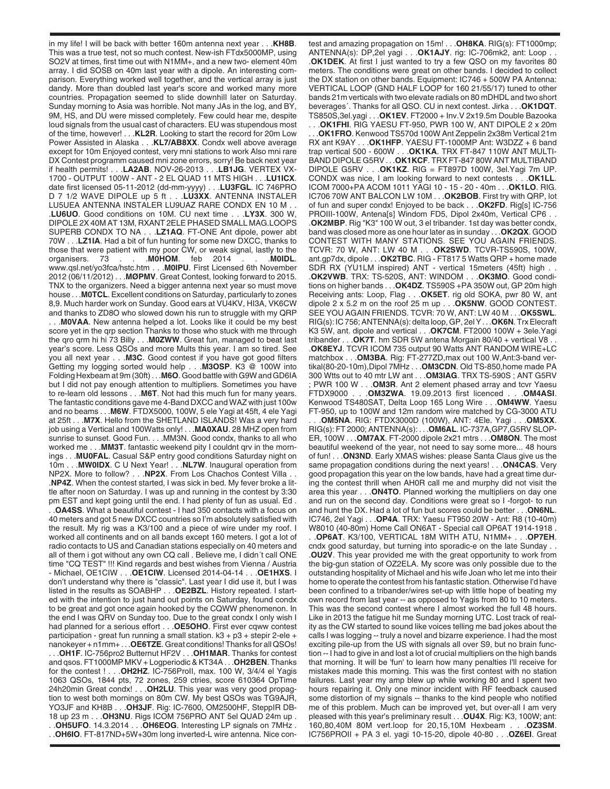in my life! I will be back with better 160m antenna next year . . .**KH8B**. This was a true test, not so much contest. New-ish FTdx5000MP, using SO2V at times, first time out with N1MM+, and a new two- element 40m array. I did SOSB on 40m last year with a dipole. An interesting comparison. Everything worked well together, and the vertical array is just dandy. More than doubled last year's score and worked many more countries. Propagation seemed to slide downhill later on Saturday. Sunday morning to Asia was horrible. Not many JAs in the log, and BY, 9M, HS, and DU were missed completely. Few could hear me, despite loud signals from the usual cast of characters. EU was stupendous most of the time, however! . . .**KL2R**. Looking to start the record for 20m Low Power Assisted in Alaska . . .**KL7/AB8XX**. Condx well above average except for 10m Enjoyed contest, very mni stations to work Also mni rare DX Contest programm caused mni zone errors, sorry! Be back next year if health permits! . . .**LA2AB**. NOV-26-2013 . . .**LB1JG**. VERTEX VX-1700 - OUTPUT 100W - ANT - 2 EL QUAD 11 MTS HIGH . . .**LU1ICX**. date first licensed 05-11-2012 (dd-mm-yyyy) . . .**LU3FGL**. IC 746PRO D 7 1/2 WAVE DIPOLE up 5 ft . . .**LU3XX**. ANTENNA INSTALER LU5UEA ANTENNA INSTALER LU9UAZ RARE CONDX EN 10 M . . .**LU6UO**. Good conditions on 10M. CU next time . . .**LY3X**. 300 W, DIPOLE 2X 40M AT 13M, RXANT 2ELE PHASED SMALL MAG.LOOPS SUPERB CONDX TO NA . . .**LZ1AQ**. FT-ONE Ant dipole, power abt 70W . . .**LZ1IA**. Had a bit of fun hunting for some new DXCC, thanks to those that were patient with my poor CW, or weak signal, lastly to the organisers. 73 . . .**M0HOM**. feb 2014 . . .**M0IDL**. www.qsl.net/yo3fca/hstc.htm . . .**M0IPU**. First Licensed 6th November 2012 (06/11/2012) . . .**MØPMV**. Great Contest, looking forward to 2015. TNX to the organizers. Need a bigger antenna next year so must move house . . .**M0TCL**. Excellent conditions on Saturday, particularly to zones 8,9. Much harder work on Sunday. Good ears at VU4KV, HI3A, VK6CW and thanks to ZD8O who slowed down his run to struggle with my QRP . . .**M0VAA**. New antenna helped a lot. Looks like it could be my best score yet in the qrp section Thanks to those who stuck with me through the qro qrm hi hi 73 Billy . . .**M0ZWW**. Great fun, managed to beat last year's score. Less QSOs and more Mults this year. I am so tired. See you all next year . . .**M3C**. Good contest if you have got good filters Getting my logging sorted would help . . .**M3OSP**. K3 @ 100W into Folding Hexbeam at 9m (30ft) . . .**M6O**. Good battle with G9W and GD6IA but I did not pay enough attention to multipliers. Sometimes you have to re-learn old lessons . . .**M6T**. Not had this much fun for many years. The fantastic conditions gave me 4-Band DXCC and WAZ with just 100w and no beams . . . M6W. FTDX5000, 100W, 5 ele Yagi at 45ft, 4 ele Yagi at 25ft . . .**M7X**. Hello from the SHETLAND ISLANDS! Was a very hard job using a Vertical and 100Watts only! . . .**MA0XAU**. 28 MHZ open from sunrise to sunset. Good Fun. . . .MM3N. Good condx, thanks to all who worked me . . .**MM3T**. fantastic weekend pity I couldnt qrv in the mornings . . .**MU0FAL**. Casual S&P entry good conditions Saturday night on 10m . . .**MW0IDX**. C U Next Year! . . .**NL7W**. Inaugural operation from NP2X. More to follow? . . .**NP2X**. From Los Chachos Contest Villa . . .**NP4Z**. When the contest started, I was sick in bed. My fever broke a little after noon on Saturday. I was up and running in the contest by 3:30 pm EST and kept going until the end. I had plenty of fun as usual. Ed . . .**OA4SS**. What a beautiful contest - I had 350 contacts with a focus on 40 meters and got 5 new DXCC countries so I'm absolutely satisfied with the result. My rig was a K3/100 and a piece of wire under my roof. I worked all continents and on all bands except 160 meters. I got a lot of radio contacts to US and Canadian stations especially on 40 meters and all of them i got without any own CQ call . Believe me, I didn´t call ONE time "CQ TEST" !!! Kind regards and best wishes from Vienna / Austria - Michael, OE1CIW . . .**OE1CIW**. Licensed 2014-04-14 . . .**OE1HXS**. I don't understand why there is "classic". Last year I did use it, but I was listed in the results as SOABHP . . .**OE2BZL**. History repeated. I started with the intention to just hand out points on Saturday, found condx to be great and got once again hooked by the CQWW phenomenon. In the end I was QRV on Sunday too. Due to the great condx I only wish I had planned for a serious effort . . .**OE5OHO**. First ever cqww contest participation - great fun running a small station. k3 + p3 + stepir 2-ele + nanokeyer + n1mm+ . . .**OE6TZE**. Great conditions! Thanks for all QSOs! . . .**OH1F**. IC-756pro2 Butternut HF2V . . .**OH1MAR**. Thanks for contest and qsos. FT1000MP MKV + Logperiodic & KT34A . . .**OH2BEN**. Thanks for the contest ! . . .**OH2HZ**. IC-756ProII, max. 100 W, 3/4/4 el Yagis 1063 QSOs, 1844 pts, 72 zones, 259 ctries, score 610364 OpTime 24h20min Great condx! . . .**OH2LU**. This year was very good propagtion to west both mornings on 80m CW. My best QSOs was TG9AJR, YO3JF and KH8B . . .**OH3JF**. Rig: IC-7600, OM2500HF, SteppIR DB-18 up 23 m . . .**OH3NU**. Rigs ICOM 756PRO ANT 5el QUAD 24m up . . .**OH5UFO**. 14.3.2014 . . .**OH6EOG**. Interesting LP signals on 7MHz . . .**OH6IO**. FT-817ND+5W+30m long inverted-L wire antenna. Nice contest and amazing propagation on 15m! . . .**OH8KA**. RIG(s): FT1000mp; ANTENNA(s): DP,2el yagi . . . **OK1AJY**. rig: IC-706mk2, ant: Loop .**OK1DEK**. At first I just wanted to try a few QSO on my favorites 80 meters. The conditions were great on other bands. I decided to collect the DX station on other bands. Equipment: IC746 + 500W PA Antenna: VERTICAL LOOP (GND HALF LOOP for 160 21/55/17) tuned to other bands 21m verticals with two elevate radials on 80 mDHDL and two short beverages´. Thanks for all QSO. CU in next contest. Jirka . . .**OK1DQT**. TS850S,3el.yagi . . .**OK1EV**. FT2000 + Inv.V 2x19.5m Double Bazooka

. . .**OK1FHI**. RIG YAESU FT-950, PWR 100 W, ANT DIPOLE 2 x 20m .OK1FRO. Kenwood TS570d 100W Ant Zeppelin 2x38m Vertical 21m RX ant K9AY . . .**OK1HFP**. YAESU FT-1000MP Ant: W3DZZ + 6 band trap vertical 500 - 600W . . .**OK1KA**. TRX FT-847 110W ANT MULTI-BAND DIPOLE G5RV . . .**OK1KCF**. TRX FT-847 80W ANT MULTIBAND DIPOLE G5RV . . .**OK1KZ**. RIG = FT897D 100W, 3el.Yagi 7m UP. CONDX was nice, I am looking forward to next contests . . .**OK1LL**. ICOM 7000+PA ACOM 1011 YAGI 10 - 15 - 20 - 40m . . .**OK1LO**. RIG. IC706 70W ANT BALCON LW 10M . . .**OK2BOB**. First try with QRP, lot of fun and super condx! Enjoyed to be back . . .**OK2FD**. Rig[s] IC-756 PROIII-100W, Antena[s] Windom FD5, Dipol 2x40m, Vertical CP6 . . .**OK2MBP**. Rig "K3" 100 W out, 3 el tribander. 1st day was better condx, band was closed more as one hour later as in sunday . . .**OK2QX**. GOOD CONTEST WITH MANY STATIONS. SEE YOU AGAIN FRIENDS. TCVR: 70 W, ANT: LW 40 M . . .**OK2SWD**. TCVR-TS590S, 100W, ant.gp7dx, dipole . . .**OK2TBC**. RIG - FT817 5 Watts QRP + home made SDR RX (YU1LM inspired) ANT - vertical 15meters (45ft) high . . .**OK2VWB**. TRX: TS-520S, ANT: WINDOM . . .**OK3MO**. Good conditions on higher bands . . .**OK4DZ**. TS590S +PA 350W out, GP 20m high Receiving ants: Loop, Flag . . .**OK5ET**. rig old SOKA, pwr 80 W, ant dipole 2 x 5.2 m on the roof 25 m up . . .**OK5NW**. GOOD CONTEST. SEE YOU AGAIN FRIENDS. TCVR: 70 W, ANT: LW 40 M . . .**OK5SWL**. RIG(s): IC 756; ANTENNA(s): delta loop, GP, 2el Y . . .**OK6N**. Trx Elecraft K3 5W, ant. dipole and vertical . . .**OK7CM**. FT2000 100W + 3ele.Yagi tribander . . .**OK7T**. hm SDR 5W antena Morgain 80/40 + vertical V8 . . .**OK8EYJ**. TCVR ICOM 735 output 90 Watts ANT RANDOM WIRE+LC matchbox . . .**OM3BA**. Rig: FT-277ZD,max out 100 W,Ant:3-band vertikal(80-20-10m),Dipol 7MHz . . .**OM3CDN**. Old TS-850,home made PA 300 Wtts out to 40 mtr LW ant . . .**OM3IAG**. TRX TS-590S ; ANT G5RV ; PWR 100 W . . .**OM3R**. Ant 2 element phased array and tcvr Yaesu FTDX9000 . . .**OM3ZWA**. 19.09.2013 first licenced . . .**OM4ASI**. Kenwood TS480SAT, Delta Loop 165 Long Wire . . .**OM4WW**. Yaesu FT-950, up to 100W and 12m random wire matched by CG-3000 ATU

. . .**OM5NA**. RIG: FTDX3000D (100W), ANT: 4Ele. Yagi . . .**OM5XX**. RIG(s): FT 2000; ANTENNA(s): . . .**OM6AL**. IC-737A,GP7,G5RV SLOP-ER, 100W . . .**OM7AX**. FT-2000 dipole 2x21 mtrs . . .**OM8ON**. The most beautiful weekend of the year, not need to say some more... 48 hours of fun! . . .**ON3ND**. Early XMAS wishes: please Santa Claus give us the same propagation conditions during the next years! . . .**ON4CAS**. Very good propagation this year on the low bands, have had a great time during the contest thrill when AH0R call me and murphy did not visit the area this year . . .**ON4TO**. Planned working the multipliers on day one and run on the second day. Conditions were great so I -forgot- to run and hunt the DX. Had a lot of fun but scores could be better . . .**ON6NL**. IC746, 2el Yagi . . .**OP4A**. TRX: Yaesu FT950 20W - Ant: R8 (10-40m) W8010 (40-80m) Home Call ON6AT - Special call OP6AT 1914-1918 .

. .**OP6AT**. K3/100, VERTICAL 18M WITH ATU, N1MM+ . . .**OP7EH**. cndx good saturday, but turning into sporadic-e on the late Sunday . . .**OU2V**. This year provided me with the great opportunity to work from the big-gun station of OZ2ELA. My score was only possible due to the outstanding hospitality of Michael and his wife Joan who let me into their home to operate the contest from his fantastic station. Otherwise I'd have been confined to a tribander/wires set-up with little hope of beating my own record from last year -- as opposed to Yagis from 80 to 10 meters. This was the second contest where I almost worked the full 48 hours. Like in 2013 the fatigue hit me Sunday morning UTC. Lost track of reality as the CW started to sound like voices telling me bad jokes about the calls I was logging -- truly a novel and bizarre experience. I had the most exciting pile-up from the US with signals all over S9, but no brain function -- I had to give in and lost a lot of crucial multipliers on the high bands that morning. It will be 'fun' to learn how many penalties I'll receive for mistakes made this morning. This was the first contest with no station failures. Last year my amp blew up while working 80 and I spent two hours repairing it. Only one minor incident with RF feedback caused some distortion of my signals -- thanks to the kind people who notified me of this problem. Much can be improved yet, but over-all I am very pleased with this year's preliminary result . . .**OU4X**. Rig: K3, 100W; ant: 160,80,40M 80M vert.loop for 20,15,10M Hexbeam . . .**OZ3SM**. IC756PROII + PA 3 el. yagi 10-15-20, dipole 40-80 . . .**OZ6EI**. Great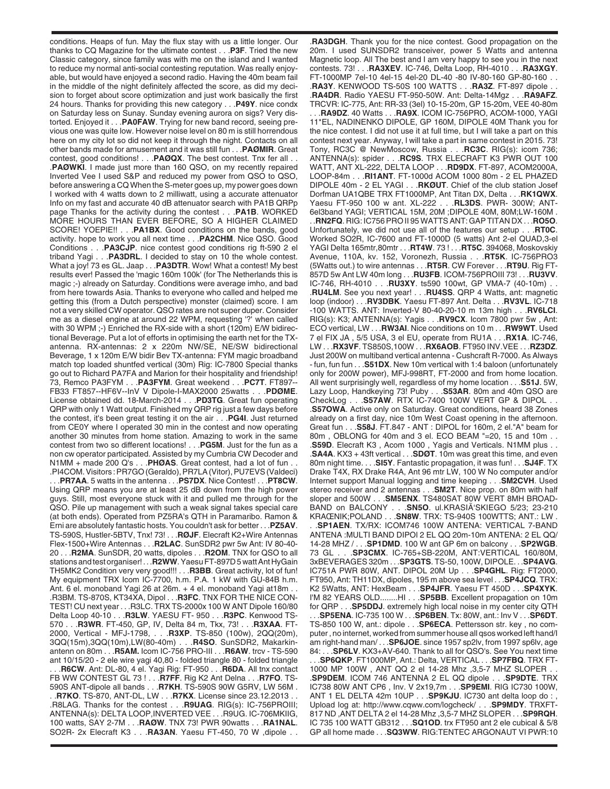conditions. Heaps of fun. May the flux stay with us a little longer. Our thanks to CQ Magazine for the ultimate contest . . .**P3F**. Tried the new Classic category, since family was with me on the island and I wanted to reduce my normal anti-social contesting reputation. Was really enjoyable, but would have enjoyed a second radio. Having the 40m beam fail in the middle of the night definitely affected the score, as did my decision to forget about score optimization and just work basically the first 24 hours. Thanks for providing this new category . . .**P49Y**. nice condx on Saturday less on Sunay. Sunday evening aurora on sigs? Very distorted. Enjoyed it . . .**PA0FAW**. Trying for new band record, seeing previous one was quite low. However noise level on 80 m is still horrendous here on my city lot so did not keep it through the night. Contacts on all other bands made for amusement and it was still fun . . .**PAØMIR**. Great contest, good conditions! . . .**PAØQX**. The best contest. Tnx fer all . . .**PAØWKI**. I made just more than 160 QSO, on my recently repaired Inverted Vee I used S&P and reduced my power from QSO to QSO, before answering a CQ When the S-meter goes up, my power goes down I worked with 4 watts down to 2 milliwatt, using a accurate attenuator Info on my fast and accurate 40 dB attenuator search with PA1B QRPp page Thanks for the activity during the contest . . .**PA1B**. WORKED MORE HOURS THAN EVER BEFORE, SO A HIGHER CLAIMED SCORE! YOEPIE!! . . .**PA1BX**. Good conditions on the bands, good activity. hope to work you all next time . . .**PA2CHM**. Nice QSO. Good Conditions . . .**PA3CJP**. nice contest good conditions rig ft-590 2 el triband Yagi . . .**PA3DRL**. I decided to stay on 10 the whole contest. What a joy! 73 es GL. Jaap . . .**PA3DTR**. Wow! What a contest! My best results ever! Passed the 'magic 160m 100k' (for The Netherlands this is magic ;-) already on Saturday. Conditions were average imho, and bad from here towards Asia. Thanks to everyone who called and helped me getting this (from a Dutch perspective) monster (claimed) score. I am not a very skilled CW operator. QSO rates are not super duper. Consider me as a diesel engine at around 22 WPM, requesting '?' when called with 30 WPM ;-) Enriched the RX-side with a short (120m) E/W bidirectional Beverage. Put a lot of efforts in optimising the earth net for the TXantenna. RX-antennas: 2 x 220m NW/SE, NE/SW bidirectional Beverage, 1 x 120m E/W bidir Bev TX-antenna: FYM magic broadband match top loaded shuntfed vertical (30m) Rig: IC-7800 Special thanks go out to Richard PA7FA and Marion for their hospitality and friendship! 73, Remco PA3FYM . . .**PA3FYM**. Great weekend . . .**PC7T**. FT897-- FB33 FT857--HF6V--InV V Dipole-I-MAX2000 25watts . . .**PDØME**. License obtained dd. 18-March-2014 . . .**PD3TG**. Great fun operating QRP with only 1 Watt output. Finished my QRP rig just a few days before the contest, it's been great testing it on the air . . .**PG4I**. Just returned from CE0Y where I operated 30 min in the contest and now operating another 30 minutes from home station. Amazing to work in the same contest from two so different locations! . . .**PG5M**. Just for the fun as a non cw operator participated. Assisted by my Cumbria CW Decoder and N1MM + made 200 Q's . . .**PHØAS**. Great contest, had a lot of fun . . .PI4COM. Visitors : PR7GO (Geraldo), PR7LA (Vitor), PU7EVS (Valdeci) . . .**PR7AA**. 5 watts in the antenna . . .**PS7DX**. Nice Contest! . . .**PT8CW**. Using QRP means you are at least 25 dB down from the high power guys. Still, most everyone stuck with it and pulled me through for the QSO. Pile up management with such a weak signal takes special care (at both ends). Operated from PZ5RA's QTH in Paramaribo. Ramon & Erni are absolutely fantastic hosts. You couldn't ask for better . . .**PZ5AV**. TS-590S, Hustler-5BTV, Tnx! 73! . . .**RØJF**. Elecraft K2+Wire Antennas Flex-1500+Wire Antennas . . .**R2LAC**. SunSDR2 pwr 5w Ant: IV 80-40- 20 . . .**R2MA**. SunSDR, 20 watts, dipoles . . .**R2OM**. TNX for QSO to all stations and test organiser! . . .**R2WW**. Yaesu FT-897D 5 watt Ant HyGain TH5MK2 Condition very very good!!! . . .**R3BB**. Great activity, lot of fun! My equipment TRX Icom IC-7700, h.m. P.A. 1 kW with GU-84B h.m. Ant. 6 el. monoband Yagi 26 at 26m. + 4 el. monoband Yagi at18m . . .R3BM. TS-870S, KT34XA, Dipol . . .**R3FC**. TNX FOR THE NICE CON-TEST! CU next year . . .R3LC. TRX TS-2000x 100 W ANT Dipole 160/80 Delta Loop 40-10 . . .**R3LW**. YAESU FT- 950 . . .**R3PC**. Kenwood TS-570 . . .**R3WR**. FT-450, GP, IV, Delta 84 m, Tkx, 73! . . .**R3XAA**. FT-2000, Vertical - MFJ-1798, . . .**R3XP**. TS-850 (100w), 2QQ(20m), 3QQ(15m),3QQ(10m),LW(80-40m) . . .**R4SO**. SunSDR2, Makarkinantenn on 80m . . .**R5AM.** Icom IC-756 PRO-III . . .**R6AW**. trcv - TS-590 ant 10/15/20 - 2 ele wire yagi 40,80 - folded triangle 80 - folded triangle . . .**R6CW**. Ant: DL-80, 4 el. Yagi Rig: FT-950 . . .**R6DA**. All tnx contact FB WW CONTEST GL 73 ! . . .**R7FF**. Rig K2 Ant Delna . . .**R7FO**. TS-590S ANT-dipole all bands . . .**R7KH**. TS-590S 90W G5RV, LW 56M . . .**R7KO**. TS-870, ANT-DL, LW . . .**R7KX**. License since 23.12.2013 . . .R8LAG. Thanks for the contest . . .**R9UAG**. RIG(s): IC-756PROIII; ANTENNA(s): DELTA LOOP,INVERTED VEE . . .R9UG. IC-706MKIIG, 100 watts, SAY 2-7M . . .**RAØW**. TNX 73! PWR 90watts . . .**RA1NAL**. SO2R- 2x Elecraft K3 . . .**RA3AN**. Yaesu FT-450, 70 W ,dipole . .

.**RA3DGH**. Thank you for the nice contest. Good propagation on the 20m. I used SUNSDR2 transceiver, power 5 Watts and antenna Magnetic loop. All The best and I am very happy to see you in the next contests. 73! . . .**RA3XEV**. IC-746, Delta Loop, RH-4010 . . .**RA3XGY**. FT-1000MP 7el-10 4el-15 4el-20 DL-40 -80 IV-80-160 GP-80-160 . . .**RA3Y**. KENWOOD TS-50S 100 WATTS . . .**RA3Z**. FT-897 dipole . . .**RA4DR**. Radio YAESU FT-950-50W. Ant: Delta-14Mgz . . .**RA9AFZ**. TRCVR: IC-775, Ant: RR-33 (3el) 10-15-20m, GP 15-20m, VEE 40-80m

. . .**RA9DZ**. 40 Watts . . .**RA9X**. ICOM IC-756PRO, ACOM-1000, YAGI 11\*EL, NADINENKO DIPOLE, GP 160M, DIPOLE 40M Thank you for the nice contest. I did not use it at full time, but I will take a part on this contest next year. Anyway, I will take a part in same contest in 2015. 73! Tony, RC3C @ NewMoscow, Russia . . .**RC3C**. RIG(s): icom 736; ANTENNA(s): spider . . .**RC9S**. TRX ELECRAFT K3 PWR OUT 100 WATT, ANT XL-222, DELTA LOOP . . .**RD9DX**. FT-897, ACOM2000A, LOOP-84m . . .**RI1ANT**. FT-1000d ACOM 1000 80m - 2 EL PHAZED DIPOLE 40m - 2 EL YAGI . . .**RKØUT**. Chief of the club station Josef Dorfman UA1QBE TRX FT1000MP, Ant Titan DX, Delta . . .**RK1QWX**. Yaesu FT-950 100 w ant. XL-222 . . .**RL3DS**. PWR- 300W; ANT-6el3band YAGI; VERTICAL 15M, 20M ;DIPOLE 40M, 80M;LW-160M . . .**RN2FQ**. RIG: IC756 PRO II 95 WATTS ANT: GAP TITAN DX . . .**RO5O**. Unfortunately, we did not use all of the features our setup . . .**RT0C**. Worked SO2R, IC-7600 and FT-1000D (5 watts) Ant 2-el QUAD,3-el YAGI Delta 165mtr,80mtr . . .**RT4W**. 73 ! . . .**RT5C**. 394068, Moskovskiy Avenue, 110A, kv. 152, Voronezh, Russia . . .**RT5K**. IC-756PRO3 (5Watts out.) to wire antennas . . .**RT5R**. CW Forever . . .**RT9U**. Rig FT-857D 5w Ant LW 40m long . . .**RU3FB**. ICOM-756PROIII 73! . . .**RU3VV**. IC-746, RH-4010 . . .**RU3XY**. ts590 100wt, GP VMA-7 (40-10m) . . .**RU4LM**. See you next year! . . .**RU4SS**. QRP 4 Watts, ant: magnetic loop (indoor) . . .**RV3DBK**. Yaesu FT-897 Ant. Delta . . .**RV3VL**. IC-718 -100 WATTS. ANT: Inverted-V 80-40-20-10 m 13m high . . .**RV6LCI**. RIG(s): K3; ANTENNA(s): Yagis . . .**RV9CX**. Icom 7800 pwr 5w , Ant: ECO vertical, LW . . .**RW3AI**. Nice conditions on 10 m . . .**RW9WT**. Used 7 el FIX JA , 5/5 USA, 3 el EU, operate from RU1A . . .**RX1A**. IC-746, LW . . .**RX3VF**. TS850S,100W . . .**RX6AOB**. FT950 INV.VEE . . .**RZ3DZ**. Just 200W on multiband vertical antenna - Cushcraft R-7000. As Always - fun, fun fun . . .**S51DX**. New 10m vertical with 1:4 baloon (unfortunately only for 200W power), MFJ-998RT, FT-2000 and from home location. All went surprisingly well, regardless of my home location . . .**S51J**. 5W, Lazy Loop, Handkeying 73! Puby . . .**S53AR**. 80m and 40m QSO are CheckLog . . .**S57AW**. RTX IC-7400 100W VERT GP & DIPOL . . .**S57OWA**. Active only on Saturday. Great conditions, heard 38 Zones already on a first day, nice 10m West Coast opening in the afternoon. Great fun . . .**S58J**. FT.847 - ANT : DIPOL for 160m, 2 el."A" beam for 80m, OBLONG for 40m and 3 el. ECO BEAM "=20, 15 and 10m . . .**S59D**. Elecraft K3 , Acom 1000 , Yagis and Verticals. N1MM plus . . .**SA4A**. KX3 + 43ft vertical . . .**SDØT**. 10m was great this time, and even 80m night time. . . .**SI5Y**. Fantastic propagation, it was fun! . . .**SJ4F**. TX Drake T4X, RX Drake R4A, Ant 96 mtr LW, 100 W No computer and/or Internet support Manual logging and time keeping . . .**SM2CVH**. Used stereo receiver and 2 antennas . . .**SM2T**. Nice prop. on 80m with half sloper and 500W . . .**SM5ENX**. TS480SAT 80W VERT 8MH BROAD-BAND on BALCONY . . . SN50. ul.KRASIÃ'SKIEGO 5/23; 23-210 KRAŒNIK;POLAND . . .**SN8W**. TRX: TS-940S 100WTTS; ANT.: LW . . .**SP1AEN**. TX/RX: ICOM746 100W ANTENA: VERTICAL 7-BAND ANTENA :MULTI BAND DIPOl 2 EL QQ 20m-10m ANTENA: 2 EL QQ/ 14-28 MHZ / . . .**SP1DMD**. 100 W ant GP 6m on balcony . . .**SP2WGB**. 73 GL . . .**SP3CMX**. IC-765+SB-220M, ANT:VERTICAL 160/80M, 3xBEVERAGES 320m . . .**SP3GTS**. TS-50, 100W, DIPOLE. . .**SP4AVG**. IC751A PWR 80W, ANT. DIPOL 20M Up . . .**SP4GHL**. Rig: FT2000, FT950, Ant: TH11DX, dipoles, 195 m above sea level . . .**SP4JCQ**. TRX: K2 5Watts, ANT: HexBeam . . .**SP4JFR**. Yaesu FT 450D . . .**SP4XYK**. I'M 82 YEARS OLD........HI . . .**SP5BB**. Excellent propagation on 10m for QRP . . .**SP5DDJ**. extremely high local noise in my center city QTH

. . .**SP5ENA**. IC-735 100 W . . .**SP6BEN**. Tx: 80W, ant.: Inv V . . .**SP6DT**. TS-850 100 W, ant.: dipole . . .**SP6ECA**. Pettersson str. key , no computer , no internet, worked from summer house all qsos worked left hand/I am right-hand man/ . . .**SP6JOE**. since 1957 sp2lv, from 1997 sp6lv, age 84: . . .**SP6LV**. KX3+AV-640. Thank to all for QSO's. See You next time . . .**SP6QKP**. FT1000MP, Ant.: Delta, VERTICAL . . .**SP7FBQ**. TRX FT-1000 MP 100W , ANT QQ 2 el 14-28 Mhz ,3,5-7 MHZ SLOPER . . .**SP9DEM**. ICOM 746 ANTENNA 2 EL QQ dipole . . .**SP9DTE**. TRX IC738 80W ANT CP6 , Inv. V 2x19,7m . . .**SP9EMI**. RIG IC730 100W, ANT 1 EL DELTA 42m 10UP . . .**SP9KJU**. IC730 ant delta loop do : , Upload log at: http://www.cqww.com/logcheck/ . . .**SP9MDY**. TRXFT-817 ND ,ANT DELTA 2 el 14-28 Mhz ,3,5-7 MHZ SLOPER . . .**SP9RQH**. IC 735 100 WATT GB312 . . .**SQ1OD**. trx FT950 ant 2 ele cubical & 5/8 GP all home made . . .**SQ3WW**. RIG:TENTEC ARGONAUT VI PWR:10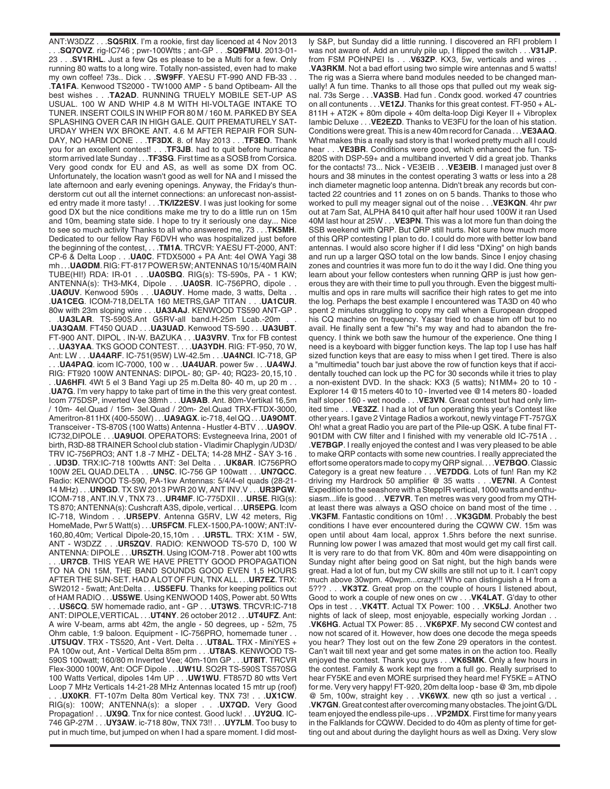ANT:W3DZZ . . .**SQ5RIX**. I'm a rookie, first day licenced at 4 Nov 2013 . . .**SQ7OVZ**. rig-IC746 ; pwr-100Wtts ; ant-GP . . .**SQ9FMU**. 2013-01- 23 . . .**SV1RHL**. Just a few Qs es please to be a Multi for a few. Only running 80 watts to a long wire. Totally non-assisted, even had to make my own coffee! 73s.. Dick . . .**SW9FF**. YAESU FT-990 AND FB-33 . . .**TA1FA**. Kenwood TS2000 - TW1000 AMP - 5 band Optibeam- All the best wishes . . .**TA2AD**. RUNNING TRUELY MOBILE SET-UP AS USUAL. 100 W AND WHIP 4.8 M WITH HI-VOLTAGE INTAKE TO TUNER. INSERT COILS IN WHIP FOR 80 M / 160 M. PARKED BY SEA SPLASHING OVER CAR IN HIGH GALE. QUIT PREMATURELY SAT-URDAY WHEN WX BROKE ANT. 4.6 M AFTER REPAIR FOR SUN-DAY, NO HARM DONE . . .**TF3DX**. 8. of May 2013 . . .**TF3EO**. Thank you for an excellent contest! . . .**TF3JB**. had to quit before hurricane storm arrived late Sunday . . .**TF3SG**. First time as a SOSB from Corsica. Very good condx for EU and AS, as well as some DX from OC. Unfortunately, the location wasn't good as well for NA and I missed the late afternoon and early evening openings. Anyway, the Friday's thunderstorm cut out all the internet connections: an unforecast non-assisted entry made it more tasty! . . .**TK/IZ2ESV**. I was just looking for some good DX but the nice conditions make me try to do a little run on 15m and 10m, beaming state side. I hope to try it seriously one day... Nice to see so much activity Thanks to all who answered me, 73 . . .**TK5MH**. Dedicated to our fellow Ray F6DVH who was hospitalized just before the beginning of the contest, . . .**TM1A**. TRCVR: YAESU FT-2000, ANT: CP-6 & Delta Loop . . .**UA0C**. FTDX5000 + PA Ant: 4el OWA Yagi 38 mh . . .**UAØDM**. RIG: FT-817 POWER 5W; ANTENNAS 10/15/40M RAIN TUBE(HI!) RDA: IR-01 . . .**UA0SBQ**. RIG(s): TS-590s, PA - 1 KW; ANTENNA(s): TH3-MK4, Dipole . . .**UA0SR**. IC-756PRO, dipole . . .**UAØUV**. Kenwood 590s . . .**UAØUY**. Home made, 3 watts, Delta . . .**UA1CEG**. ICOM-718,DELTA 160 METRS,GAP TITAN . . .**UA1CUR**. 80w with 23m sloping wire . . .**UA3AAJ**. KENWOOD TS590 ANT-GP . .UA3LAR. TS-590S.Ant G5RV-all band.H-25m Lcab.-20m .**UA3QAM**. FT450 QUAD . . .**UA3UAD**. Kenwood TS-590 . . .**UA3UBT**. FT-900 ANT. DIPOL . IN-W. BAZUKA . . .**UA3VRV**. Tnx for FB contest . . .**UA3YAA**. TKS GOOD CONTEST. . . .**UA3YDH**. RIG: FT-950, 70 W, Ant: LW . . .**UA4ARF**. IC-751(95W) LW-42.5m . . .**UA4NCI**. IC-718, GP . . .**UA4PAQ**. icom IC-7000, 100 w . . .**UA4UAR**. power 5w . . .**UA4WJ**. RIG: FT920 100W ANTENNAS: DIPOL- 80; GP- 40; RQ23- 20,15,10 . . .**UA6HFI**. 4Wt 5 el 3 Band Yagi up 25 m.Delta 80- 40 m, up 20 m . . .**UA7G**. I'm very happy to take part of time in the this very great contest. Icom 775DSP, inverted Vee 38mh . . .**UA9AB**. Ant. 80m-Vertikal 16,5m / 10m- 4el.Quad / 15m- 3el.Quad / 20m- 2el.Quad TRX-FTDX-3000, Ameritron-811HX (400-550W) . . .**UA9AGX**. ic-718, 4el QQ . . .**UA9OMT**. Transceiver - TS-870S (100 Watts) Antenna - Hustler 4-BTV . . .**UA9OV**. IC732,DIPOLE . . .**UA9UOI**. OPERATORS: Evstegneeva Irina, 2001 of birth, R3D-88 TRAINER School club station - Vladimir Chaplygin /UD3D/ TRV IC-756PRO3; ANT 1.8 -7 MHZ - DELTA; 14-28 MHZ - SAY 3-16 . . .**UD3D**. TRX:IC-718 100wtts ANT: 3el Delta . . .**UK8AR**. IC756PRO 100W 2EL QUAD.DELTA . . .**UN5C**. IC-756 GP 100watt . . .**UN7QCC**. Radio: KENWOOD TS-590, PA-1kw Antennas: 5/4/4-el quads (28-21- 14 MHz) . . .**UN9GD**. TX SW 2013 PWR 20 W, ANT INV.V . . .**UR3PGW**. ICOM-718 , ANT.IN.V , TNX 73 . . .**UR4MF**. IC-775DXII . . .**UR5E**. RIG(s): TS 870; ANTENNA(s): Cushcraft A3S, dipole, vertical . . .**UR5EPG**. Icom IC-718, Windom . . .**UR5EPV**. Antenna G5RV, LW 42 meters, Rig HomeMade, Pwr 5 Watt(s) . . .**UR5FCM**. FLEX-1500,PA-100W; ANT:IV-160,80,40m; Vertical Dipole-20,15,10m . . .**UR5TL**. TRX: X1M - 5W, ANT - W3DZZ . . .**UR5ZQV**. RADIO: KENWOOD TS-570 D, 100 W ANTENNA: DIPOLE . . .**UR5ZTH**. Using ICOM-718 . Power abt 100 wtts . . .**UR7CB**. THIS YEAR WE HAVE PRETTY GOOD PROPAGATION TO NA ON 15M, THE BAND SOUNDS GOOD EVEN 1,5 HOURS AFTER THE SUN-SET. HAD A LOT OF FUN, TNX ALL . . .**UR7EZ**. TRX: SW2012 - 5watt; Ant:Delta . . .**US5EFU**. Thanks for keeping politics out of HAM RADIO . . .**US5WE**. Using KENWOOD 140S, Power abt. 50 Wtts . . .**US6CQ**. 5W homemade radio, ant - GP . . .**UT3WS**. TRCVR:IC-718 ANT: DIPOLE,VERTICAL . . .**UT4NY**. 26 october 2012 . . .**UT4UFZ**. Ant: A wire V-beam, arms abt 42m, the angle - 50 degrees, up - 52m, 75 Ohm cable, 1:9 baloon. Equipment - IC-756PRO, homemade tuner . . .**UT5UQV**. TRX - TS520, Ant - Vert. Delta . . .**UT8AL**. TRX - MiniYES + PA 100w out, Ant - Vertical Delta 85m prm . . .**UT8AS**. KENWOOD TS-590S 100watt; 160/80 m Inverted Vee; 40m-10m GP . . .**UT8IT**. TRCVR Flex-3000 100W, Ant: OCF Dipole . . .**UW1U**. SO2R TS-590S TS570SG 100 Watts Vertical, dipoles 14m UP . . .**UW1WU**. FT857D 80 wtts Vert Loop 7 MHz Verticals 14-21-28 MHz Antennas located 15 mtr up (roof) . . .**UX0KR**. FT-107m Delta 80m Vertical key. TNX 73! . . .**UX1CW**. RIG(s): 100W; ANTENNA(s): a sloper . . .**UX7QD.** Very Good Propagation! . . .**UX9Q**. Tnx for nice contest. Good luck! . . .**UY2UQ**. IC-746 GP-27M . . .**UY3AW**. ic-718 80w, TNX 73!! . . .**UY7LM**. Too busy to put in much time, but jumped on when I had a spare moment. I did most-

ly S&P, but Sunday did a little running. I discovered an RFI problem I was not aware of. Add an unruly pile up, I flipped the switch . . .**V31JP**. from FSM POHNPEI Is . . . V63ZP. KX3, 5w, verticals and wires .**VA3RKM**. Not a bad effort using two simple wire antennas and 5 watts! The rig was a Sierra where band modules needed to be changed manually! A fun time. Thanks to all those ops that pulled out my weak signal. 73s Serge . . .**VA3SB**. Had fun . Condx good. worked 47 countries on all contunents . . .**VE1ZJ**. Thanks for this great contest. FT-950 + AL-811H + AT2K + 80m dipole + 40m delta-loop Digi Keyer II + Vibroplex Iambic Deluxe . . .**VE2EZD**. Thanks to VE3FU for the loan of his station. Conditions were great. This is a new 40m record for Canada . . .**VE3AAQ**. What makes this a really sad story is that I worked pretty much all I could hear . . .**VE3BR**. Conditions were good, which enhanced the fun. TS-820S with DSP-59+ and a multiband inverted V did a great job. Thanks for the contacts! 73... Nick - VE3EIB . . .**VE3EIB**. I managed just over 8 hours and 38 minutes in the contest operating 3 watts or less into a 28 inch diameter magnetic loop antenna. Didn't break any records but contacted 22 countries and 11 zones on on 5 bands. Thanks to those who worked to pull my meager signal out of the noise . . .**VE3KQN**. 4hr pwr out at 7am Sat, ALPHA 8410 quit after half hour used 100W it ran Used 40M last hour at 25W . . .**VE3PN**. This was a lot more fun than doing the SSB weekend with QRP. But QRP still hurts. Not sure how much more of this QRP contesting I plan to do. I could do more with better low band antennas. I would also score higher if I did less "DXing" on high bands and run up a larger QSO total on the low bands. Since I enjoy chasing zones and countries it was more fun to do it the way I did. One thing you learn about your fellow contesters when running QRP is just how generous they are with their time to pull you through. Even the biggest multimultis and ops in rare mults will sacrifice their high rates to get me into the log. Perhaps the best example I encountered was TA3D on 40 who spent 2 minutes struggling to copy my call when a European dropped his CQ machine on frequency. Yasar tried to chase him off but to no avail. He finally sent a few "hi"s my way and had to abandon the frequency. I think we both saw the humour of the experience. One thing I need is a keyboard with bigger function keys. The lap top I use has half sized function keys that are easy to miss when I get tired. There is also a "multimedia" touch bar just above the row of function keys that if accidentally touched can lock up the PC for 30 seconds while it tries to play a non-existent DVD. In the shack: KX3 (5 watts); N1MM+ 20 to 10 - Explorer 14 @15 meters 40 to 10 - Inverted vee @14 meters 80 - loaded half sloper 160 - wet noodle . . .**VE3VN**. Great contest but had only limited time . . .**VE3ZZ**. I had a lot of fun operating this year's Contest like other years. I gave 2 Vintage Radios a workout, newly vintage FT-757GX Oh! what a great Radio you are part of the Pile-up QSK. A tube final FT-901DM with CW filter and I finished with my venerable old IC-751A . . .**VE7BGP**. I really enjoyed the contest and I was very pleased to be able to make QRP contacts with some new countries. I really appreciated the effort some operators made to copy my QRP signal. . . .**VE7BQO**. Classic Category is a great new feature . . .**VE7DDG**. Lots of fun! Ran my K2 driving my Hardrock 50 amplifier @ 35 watts . . .**VE7NI**. A Contest Expedition to the seashore with a SteppIR vertical, 1000 watts and enthusiasm...life is good . . .**VE7VR**. Ten metres was very good from my QTHat least there was always a QSO choice on band most of the time . . .**VK3FM**. Fantastic conditions on 10m! . . .**VK3GDM**. Probably the best conditions I have ever encountered during the CQWW CW. 15m was open until about 4am local, approx 1.5hrs before the next sunrise. Running low power I was amazed that most would get my call first call. It is very rare to do that from VK. 80m and 40m were disappointing on Sunday night after being good on Sat night, but the high bands were great. Had a lot of fun, but my CW skills are still not up to it. I can't copy much above 30wpm. 40wpm...crazy!!! Who can distinguish a H from a 5??? . . .**VK3TZ**. Great prop on the couple of hours I listened about, Good to work a couple of new ones on cw . . .**VK4LAT**. G'day to other Ops in test . . .**VK4TT**. Actual TX Power: 100 . . .**VK5LJ**. Another two nights of lack of sleep, most enjoyable, especially working Jordan . . .**VK6HG**. Actual TX Power: 85 . . .**VK6PXF**. My second CW contest and now not scared of it. However, how does one decode the mega speeds you hear? They lost out on the few Zone 29 operators in the contest. Can't wait till next year and get some mates in on the action too. Really enjoyed the contest. Thank you guys . . .**VK6SMK**. Only a few hours in the contest. Family & work kept me from a full go. Really surprised to hear FY5KE and even MORE surprised they heard me! FY5KE = ATNO for me. Very very happy! FT-920, 20m delta loop - base @ 3m, mb dipole @ 5m, 100w, straight key . . .**VK6WX**. new qth so just a vertical . . .**VK7GN**. Great contest after overcoming many obstacles. The joint G/DL team enjoyed the endless pile-ups . . .**VP2MDX**. First time for many years in the Falklands for CQWW. Decided to do 40m as plenty of time for getting out and about during the daylight hours as well as Dxing. Very slow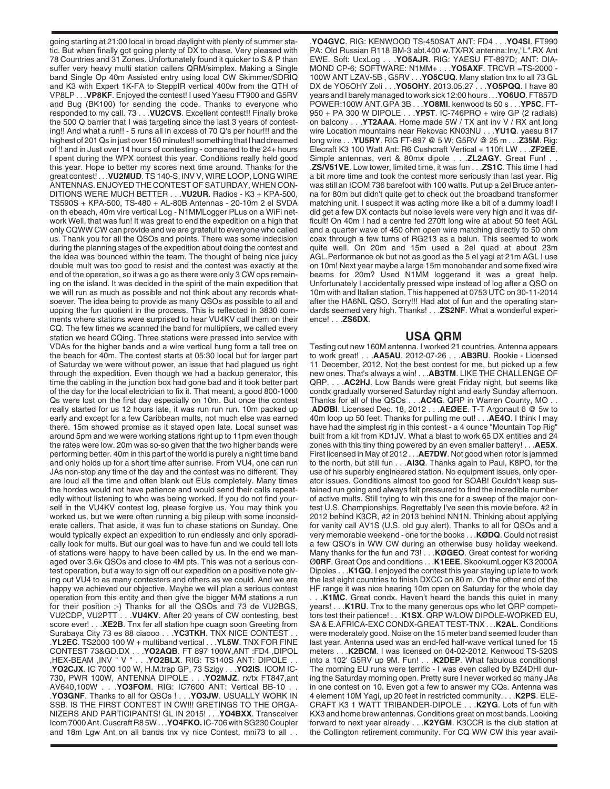going starting at 21:00 local in broad daylight with plenty of summer static. But when finally got going plenty of DX to chase. Very pleased with 78 Countries and 31 Zones. Unfortunately found it quicker to S & P than suffer very heavy multi station callers QRM/simplex. Making a Single band Single Op 40m Assisted entry using local CW Skimmer/SDRIQ and K3 with Expert 1K-FA to SteppIR vertical 400w from the QTH of VP8LP . . .**VP8KF**. Enjoyed the contest! I used Yaesu FT900 and G5RV and Bug (BK100) for sending the code. Thanks to everyone who responded to my call. 73 . . .**VU2CVS**. Excellent contest!! Finally broke the 500 Q barrier that I was targeting since the last 3 years of contesting!! And what a run!! - 5 runs all in excess of 70 Q's per hour!!! and the highest of 201 Qs in just over 150 minutes!! something that I had dreamed of !! and in Just over 14 hours of contesting - compared to the 24+ hours I spent during the WPX contest this year. Conditions really held good this year. Hope to better my scores next time around. Thanks for the great contest! . . .**VU2MUD**. TS 140-S, INV V, WIRE LOOP, LONG WIRE ANTENNAS. ENJOYED THE CONTEST OF SATURDAY, WHEN CON-DITIONS WERE MUCH BETTER . . .**VU2UR**. Radios - K3 + KPA-500, TS590S + KPA-500, TS-480 + AL-80B Antennas - 20-10m 2 el SVDA on th ebeach, 40m vire vertical Log - N1MMLogger PLus on a WiFi network Well, that was fun! It was great to end the expedition on a high that only CQWW CW can provide and we are grateful to everyone who called us. Thank you for all the QSOs and points. There was some indecision during the planning stages of the expedition about doing the contest and the idea was bounced within the team. The thought of being nice juicy double mult was too good to resist and the contest was exactly at the end of the operation, so it was a go as there were only 3 CW ops remaining on the island. It was decided in the spirit of the main expedition that we will run as much as possible and not think about any records whatsoever. The idea being to provide as many QSOs as possible to all and upping the fun quotient in the process. This is reflected in 3830 comments where stations were surprised to hear VU4KV call them on their CQ. The few times we scanned the band for multipliers, we called every station we heard CQing. Three stations were pressed into service with VDAs for the higher bands and a wire vertical hung form a tall tree on the beach for 40m. The contest starts at 05:30 local but for larger part of Saturday we were without power, an issue that had plagued us right through the expedition. Even though we had a backup generator, this time the cabling in the junction box had gone bad and it took better part of the day for the local electrician to fix it. That meant, a good 800-1000 Qs were lost on the first day especially on 10m. But once the contest really started for us 12 hours late, it was run run run. 10m packed up early and except for a few Caribbean mults, not much else was earned there. 15m showed promise as it stayed open late. Local sunset was around 5pm and we were working stations right up to 11pm even though the rates were low. 20m was so-so given that the two higher bands were performing better. 40m in this part of the world is purely a night time band and only holds up for a short time after sunrise. From VU4, one can run JAs non-stop any time of the day and the contest was no different. They are loud all the time and often blank out EUs completely. Many times the hordes would not have patience and would send their calls repeatedly without listening to who was being worked. If you do not find yourself in the VU4KV contest log, please forgive us. You may think you worked us, but we were often running a big pileup with some inconsiderate callers. That aside, it was fun to chase stations on Sunday. One would typically expect an expedition to run endlessly and only sporadically look for mults. But our goal was to have fun and we could tell lots of stations were happy to have been called by us. In the end we managed over 3.6k QSOs and close to 4M pts. This was not a serious contest operation, but a way to sign off our expedition on a positive note giving out VU4 to as many contesters and others as we could. And we are happy we achieved our objective. Maybe we will plan a serious contest operation from this entity and then give the bigger M/M stations a run for their position ;-) Thanks for all the QSOs and 73 de VU2BGS, VU2CDP, VU2PTT . . .**VU4KV**. After 20 years of CW contesting, best score ever! . . .**XE2B**. Tnx fer all station hpe cuagn soon Greeting from Surabaya City 73 es 88 ciaooo . . .**YC3TKH**. TNX NICE CONTEST . . .**YL2EC**. TS2000 100 W + multiband vertical . . .**YL5W**. TNX FOR FINE CONTEST 73&GD.DX . . .**YO2AQB**. FT 897 100W,ANT :FD4 ,DIPOL , YO2BLX. RIG: TS140S ANT: DIPOLE . .**YO2CJX**. IC 7000 100 W, H.M.trap GP, 73 Szigy . . .**YO2IS**. ICOM IC-730, PWR 100W, ANTENNA DIPOLE . . .**YO2MJZ**. rx/tx FT847,ant AV640,100W . . .**YO3FOM**. RIG: IC7600 ANT: Vertical BB-10 . . .**YO3GNF**. Thanks to all for QSOs ! . . .**YO3JW**. USUALLY WORK IN SSB. IS THE FIRST CONTEST IN CW!!! GRETINGS TO THE ORGA-NIZERS AND PARTICIPANTS! GL IN 2015! . . .**YO4BXX**. Transceiver Icom 7000 Ant. Cuscraft R8 5W . . .**YO4FKO.** IC-706 with SG230 Coupler and 18m Lgw Ant on all bands tnx vy nice Contest, mni73 to all . .

.**YO4GVC**. RIG: KENWOOD TS-450SAT ANT: FD4 . . .**YO4SI**. FT990 PA: Old Russian R118 BM-3 abt.400 w.TX/RX antenna:Inv,"L".RX Ant EWE. Soft: UcxLog . . .**YO5AJR**. RIG: YAESU FT-897D; ANT: DIA-MOND CP-6; SOFTWARE: N1MM+ . . .**YO5AXF**. TRCVR =TS-2000 - 100W ANT LZAV-5B , G5RV . . .**YO5CUQ**. Many station tnx to all 73 GL DX de YO5OHY Zoli . . .**YO5OHY**. 2013.05.27 . . .**YO5PQQ**. I have 80 years and I barely managed to work sick 12:00 hours . . .**YO6UO**. FT857D POWER:100W ANT.GPA 3B . . .**YO8MI**. kenwood ts 50 s . . .**YP5C**. FT-950 + PA 300 W DIPOLE . . .**YP5T**. IC-746PRO + wire GP (2 radials) on balcony . . .**YT2AAA**. Home made 5W / TX ant inv V / RX ant long wire Location mountains near Rekovac KN03NU . . .**YU1Q**. yaesu 817 long wire . . .**YU5RY**. RIG FT-897 @ 5 W; G5RV @ 25 m . . .**Z35M**. Rig: Elecraft K3 100 Watt Ant: R6 Cushcraft Vertical + 110ft LW . . .**ZF2EE**. Simple antennas, vert & 80mx dipole . . .**ZL2AGY**. Great Fun! . . .**ZS/V51VE**. Low tower, limited time, it was fun . . .**ZS1C**. This time I had a bit more time and took the contest more seriously than last year. Rig was still an ICOM 736 barefoot with 100 watts. Put up a 2el Bruce antenna for 80m but didn't quite get to check out the broadband transformer matching unit. I suspect it was acting more like a bit of a dummy load! I did get a few DX contacts but noise levels were very high and it was difficult! On 40m I had a centre fed 270ft long wire at about 50 feet AGL and a quarter wave of 450 ohm open wire matching directly to 50 ohm coax through a few turns of RG213 as a balun. This seemed to work quite well. On 20m and 15m used a 2el quad at about 23m AGL.Performance ok but not as good as the 5 el yagi at 21m AGL I use on 10m! Next year maybe a large 15m monobander and some fixed wire beams for 20m? Used N1MM loggerand it was a great help. Unfortunately I accidentally pressed wipe instead of log after a QSO on 10m with and Italian station. This happened at 0753 UTC on 30-11-2014 after the HA6NL QSO. Sorry!!! Had alot of fun and the operating standards seemed very high. Thanks! . . .**ZS2NF**. What a wonderful experience! . . .**ZS6DX**.

## **USA QRM**

Testing out new 160M antenna. I worked 21 countries. Antenna appears to work great! . . .**AA5AU**. 2012-07-26 . . .**AB3RU**. Rookie - Licensed 11 December, 2012. Not the best contest for me, but picked up a few new ones. That's always a win! . . .**AB3TM**. LIKE THE CHALLENGE OF QRP. . . .**AC2HJ**. Low Bands were great Friday night, but seems like condx gradually worsened Saturday night and early Sunday afternoon. Thanks for all of the QSOs . . .**AC4G**. QRP in Warren County, MO . . .**ADØBI**. Licensed Dec. 18, 2012 . . .**AEØEE**. T-T Argonaut 6 @ 5w to 40m loop up 50 feet. Thanks for pulling me out! . . .**AE4O**. I think I may have had the simplest rig in this contest - a 4 ounce "Mountain Top Rig" built from a kit from KD1JV. What a blast to work 65 DX entities and 24 zones with this tiny thing powered by an even smaller battery! . . .**AE5X**. First licensed in May of 2012 . . .**AE7DW**. Not good when rotor is jammed to the north, but still fun . . .**AI3Q**. Thanks again to Paul, K8PO, for the use of his superbly engineered station. No equipment issues, only operator issues. Conditions almost too good for SOAB! Couldn't keep sustained run going and always felt pressured to find the incredible number of active mults. Still trying to win this one for a sweep of the major contest U.S. Championships. Regrettably I've seen this movie before. #2 in 2012 behind K3CR, #2 in 2013 behind NN1N. Thinking about applying for vanity call AV1S (U.S. old guy alert). Thanks to all for QSOs and a very memorable weekend - one for the books . . .**KØDQ**. Could not resist a few QSO's in WW CW during an otherwise busy holiday weekend. Many thanks for the fun and 73! . . .**KØGEO**. Great contest for working Ø**0RF**. Great Ops and conditions . . .**K1EEE**. SkookumLogger K3 2000A Dipoles . . .**K1GQ**. I enjoyed the contest this year staying up late to work the last eight countries to finish DXCC on 80 m. On the other end of the HF range it was nice hearing 10m open on Saturday for the whole day

. . .**K1MC**. Great condx. Haven't heard the bands this quiet in many years! . . .**K1RU**. Tnx to the many generous ops who let QRP competitors test their patience! . . .**K1SX**. QRP W/LOW DIPOLE-WORKED EU, SA & E.AFRICA-EXC CONDX-GREAT TEST-TNX . . .**K2AL**. Conditions were moderately good. Noise on the 15 meter band seemed louder than last year. Antenna used was an end-fed half-wave vertical tuned for 15 meters . . .**K2BCM**. I was licensed on 04-02-2012. Kenwood TS-520S into a 102' G5RV up 9M. Fun! . . .**K2DEP**. What fabulous conditions! The morning EU runs were terrific - I was even called by BZ4DHI during the Saturday morning open. Pretty sure I never worked so many JAs in one contest on 10. Even got a few to answer my CQs. Antenna was 4 element 10M Yagi, up 20 feet in restricted community. . . .**K2PS**. ELE-CRAFT K3 1 WATT TRIBANDER-DIPOLE . . .**K2YG**. Lots of fun with KX3 and home brew antennas. Conditions great on most bands. Looking forward to next year already . . .**K2YGM**. K3CCR is the club station at the Collington retirement community. For CQ WW CW this year avail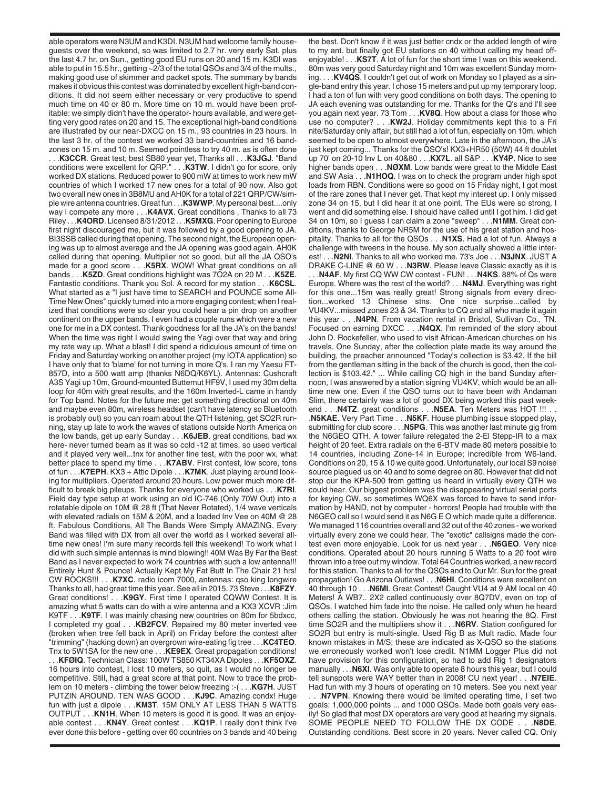able operators were N3UM and K3DI. N3UM had welcome family houseguests over the weekend, so was limited to 2.7 hr. very early Sat. plus the last 4.7 hr. on Sun., getting good EU runs on 20 and 15 m. K3DI was able to put in 15.5 hr., getting ~2/3 of the total QSOs and 3/4 of the mults., making good use of skimmer and packet spots. The summary by bands makes it obvious this contest was dominated by excellent high-band conditions. It did not seem either necessary or very productive to spend much time on 40 or 80 m. More time on 10 m. would have been profitable: we simply didn't have the operator- hours available, and were getting very good rates on 20 and 15. The exceptional high-band conditions are illustrated by our near-DXCC on 15 m., 93 countries in 23 hours. In the last 3 hr. of the contest we worked 33 band-countries and 16 bandzones on 15 m. and 10 m. Seemed pointless to try 40 m. as is often done . . .**K3CCR**. Great test, best SB80 year yet, Thanks all . . .**K3JGJ**. "Band conditions were excellent for QRP." . . .**K3TW**. I didn't go for score, only worked DX stations. Reduced power to 900 mW at times to work new mW countries of which I worked 17 new ones for a total of 90 now. Also got two overall new ones in 3B8MU and AH0K for a total of 221 QRP/CW/simple wire antenna countries. Great fun . . .**K3WWP**. My personal best....only way I compete any more . . .**K4AVX**. Great conditions , Thanks to all 73 Riley . . .**K4ORD**. Licensed 8/31/2012 . . .**K5MXG**. Poor opening to Europe first night discouraged me, but it was followed by a good opening to JA. BI3SSB called during that opening. The second night, the European opening was up to almost average and the JA opening was good again. AH0K called during that opening. Multiplier not so good, but all the JA QSO's made for a good score . . .**K5RX**. WOW! What great conditions on all bands . . .**K5ZD**. Great conditions highlight was 7O2A on 20 M . . .**K5ZE**. Fantastic conditions. Thank you Sol. A record for my station . . .**K6CSL**. What started as a "I just have time to SEARCH and POUNCE some All-Time New Ones" quickly turned into a more engaging contest; when I realized that conditions were so clear you could hear a pin drop on another continent on the upper bands. I even had a couple runs which were a new one for me in a DX contest. Thank goodness for all the JA's on the bands! When the time was right I would swing the Yagi over that way and bring my rate way up. What a blast! I did spend a ridiculous amount of time on Friday and Saturday working on another project (my IOTA application) so I have only that to 'blame' for not turning in more Q's. I ran my Yaesu FT-857D, into a 500 watt amp (thanks N6DQ/K6YL). Antennas: Cushcraft A3S Yagi up 10m, Ground-mounted Butternut HF9V, I used my 30m delta loop for 40m with great results, and the 160m Inverted-L came in handy for Top band. Notes for the future me: get something directional on 40m and maybe even 80m, wireless headset (can't have latency so Bluetooth is probably out) so you can roam about the QTH listening, get SO2R running, stay up late to work the waves of stations outside North America on the low bands, get up early Sunday . . .**K6JEB**. great conditions, bad wx here- never turned beam as it was so cold -12 at times, so used vertical and it played very well...tnx for another fine test, with the poor wx, what better place to spend my time . . .**K7ABV**. First contest, low score, tons of fun . . .**K7EPH**. KX3 + Attic Dipole . . .**K7MK**. Just playing around looking for multipliers. Operated around 20 hours. Low power much more difficult to break big pileups. Thanks for everyone who worked us . . .**K7RI**. Field day type setup at work using an old IC-746 (Only 70W Out) into a rotatable dipole on 10M @ 28 ft (That Never Rotated), 1/4 wave verticals with elevated radials on 15M & 20M, and a loaded Inv Vee on 40M @ 28 ft. Fabulous Conditions, All The Bands Were Simply AMAZING. Every Band was filled with DX from all over the world as I worked several alltime new ones! I'm sure many records fell this weekend! To work what I did with such simple antennas is mind blowing!! 40M Was By Far the Best Band as I never expected to work 74 countries with such a low antenna!!! Entirely Hunt & Pounce! Actually Kept My Fat Butt In The Chair 21 hrs! CW ROCKS!!! . . .**K7XC**. radio icom 7000, antennas: qso king longwire Thanks to all, had great time this year. See all in 2015. 73 Steve . . .**K8FZY**. Great conditions! . . .**K9GY**. First time I operated CQWW Contest. It is amazing what 5 watts can do with a wire antenna and a KX3 XCVR :Jim K9TF . . .**K9TF**. I was mainly chasing new countries on 80m for 5bdxcc, I completed my goal . . .**KB2FCV**. Repaired my 80 meter inverted vee (broken when tree fell back in April) on Friday before the contest after "trimming" (hacking down) an overgrown wire-eating fig tree . . .**KC4TEO**. Tnx to 5W1SA for the new one . . .**KE9EX**. Great propagation conditions! . . .**KFØIQ**. Technician Class: 100W TS850 KT34XA Dipoles . . .**KF5OXZ**. 16 hours into contest, I lost 10 meters, so quit, as I would no longer be competitive. Still, had a great score at that point. Now to trace the problem on 10 meters - climbing the tower below freezing :-( . . .**KG7H**. JUST PUTZIN AROUND. TEN WAS GOOD . . .**KJ9C**. Amazing condx! Huge fun with just a dipole . . .**KM3T**. 15M ONLY AT LESS THAN 5 WATTS OUTPUT . . .**KN1H**. When 10 meters is good it is good. It was an enjoyable contest . . .**KN4Y**. Great contest . . .**KQ1P**. I really don't think I've ever done this before - getting over 60 countries on 3 bands and 40 being the best. Don't know if it was just better cndx or the added length of wire to my ant. but finally got EU stations on 40 without calling my head offenjoyable! . . .**KS7T**. A lot of fun for the short time I was on this weekend. 80m was very good Saturday night and 10m was excellent Sunday morning. . . .**KV4QS**. I couldn't get out of work on Monday so I played as a single-band entry this year. I chose 15 meters and put up my temporary loop. I had a ton of fun with very good conditions on both days. The opening to JA each evening was outstanding for me. Thanks for the Q's and I'll see you again next year. 73 Tom . . .**KV8Q**. How about a class for those who use no computer? . . .**KW2J**. Holiday commitments kept this to a Fri nite/Saturday only affair, but still had a lot of fun, especially on 10m, which seemed to be open to almost everywhere. Late in the afternoon, the JA's just kept coming... Thanks for the QSO's! KX3+HR50 (50W) 44 ft doublet up 70' on 20-10 Inv L on 40&80 . . .**KX7L**. all S&P . . .**KY4P**. Nice to see higher bands open . . .**NØXM**. Low bands were great to the Middle East and SW Asia . . .**N1HOQ**. I was on to check the program under high spot loads from RBN. Conditions were so good on 15 Friday night, I got most of the rare zones that I never get. That kept my interest up. I only missed zone 34 on 15, but I did hear it at one point. The EUs were so strong, I went and did something else. I should have called until I got him. I did get 34 on 10m, so I guess I can claim a zone "sweep" . . .**N1MM**. Great conditions, thanks to George NR5M for the use of his great station and hospitality. Thanks to all for the QSOs . . .**N1XS**. Had a lot of fun. Always a challenge with tweens in the house. My son actually showed a little interest! . . .**N2NI**. Thanks to all who worked me. 73's Joe . . .**N3JNX**. JUST A DRAKE C-LINE @ 60 W . . .**N3RW**. Please leave Classic exactly as it is

. . .**N4AF**. My first CQ WW CW contest - FUN! . . .**N4KS**. 88% of Qs were Europe. Where was the rest of the world? . . .**N4MJ**. Everything was right for this one...15m was really great! Strong signals from every direction...worked 13 Chinese stns. One nice surprise...called by VU4KV...missed zones 23 & 34. Thanks to CQ and all who made it again this year . . .**N4PN**. From vacation rental in Bristol, Sullivan Co., TN. Focused on earning DXCC . . .**N4QX**. I'm reminded of the story about John D. Rockefeller, who used to visit African-American churches on his travels. One Sunday, after the collection plate made its way around the building, the preacher announced "Today's collection is \$3.42. If the bill from the gentleman sitting in the back of the church is good, then the collection is \$103.42." ... While calling CQ high in the band Sunday afternoon, I was answered by a station signing VU4KV, which would be an alltime new one. Even if the QSO turns out to have been with Andaman Slim, there certainly was a lot of good DX being worked this past week-

end . . .**N4TZ**. great conditions . . .**N5EA**. Ten Meters was HOT !!! . . .**N5KAE**. Very Part Time . . .**N5KF**. House plumbing issue stopped play, submitting for club score . . .**N5PG**. This was another last minute gig from the N6GEO QTH. A tower failure relegated the 2-El Stepp-IR to a max height of 20 feet. Extra radials on the 6-BTV made 80 meters possible to 14 countries, including Zone-14 in Europe; incredible from W6-land. Conditions on 20, 15 & 10 we quite good. Unfortunately, our local S9 noise source plagued us on 40 and to some degree on 80. However that did not stop our the KPA-500 from getting us heard in virtually every QTH we could hear. Our biggest problem was the disappearing virtual serial ports for keying CW, so sometimes WQ6X was forced to have to send information by HAND, not by computer - horrors! People had trouble with the N6GEO call so I would send it as N6G E O which made quite a difference. We managed 116 countries overall and 32 out of the 40 zones - we worked virtually every zone we could hear. The "exotic" callsigns made the contest even more enjoyable. Look for us next year . . .**N6GEO**. Very nice conditions. Operated about 20 hours running 5 Watts to a 20 foot wire thrown into a tree out my window. Total 64 Countries worked, a new record for this station. Thanks to all for the QSOs and to Our Mr. Sun for the great propagation! Go Arizona Outlaws! . . .**N6HI**. Conditions were excellent on 40 through 10 . . .**N6MI**. Great Contest! Caught VU4 at 9 AM local on 40 Meters! A WB7.. 2X2 called continuously over 8Q7DV, even on top of QSOs. I watched him fade into the noise. He called only when he heard others calling the station. Obviously he was not hearing the 8Q. First time SO2R and the multipliers show it . . .**N6RV**. Station configured for SO2R but entry is multi-single. Used Rig B as Mult radio. Made four known mistakes in M/S; these are indicated as X-QSO so the stations we erroneously worked won't lose credit. N1MM Logger Plus did not have provision for this configuration, so had to add Rig 1 designators manually . . .**N6XI**. Was only able to operate 8 hours this year, but I could tell sunspots were WAY better than in 2008! CU next year! . . .**N7EIE**. Had fun with my 3 hours of operating on 10 meters. See you next year

. . .**N7VPN**. Knowing there would be limited operating time, I set two goals: 1,000,000 points ... and 1000 QSOs. Made both goals very easily! So glad that most DX operators are very good at hearing my signals. SOME PEOPLE NEED TO FOLLOW THE DX CODE . . .**N8DE**. Outstanding conditions. Best score in 20 years. Never called CQ. Only